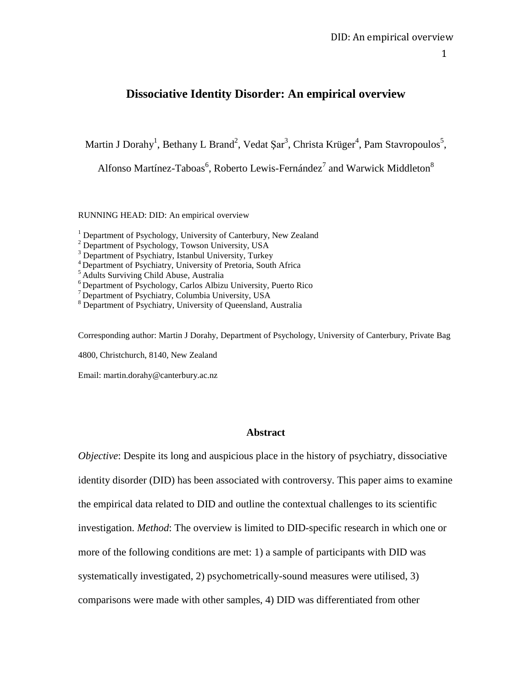# **Dissociative Identity Disorder: An empirical overview**

Martin J Dorahy<sup>1</sup>, Bethany L Brand<sup>2</sup>, Vedat Şar<sup>3</sup>, Christa Krüger<sup>4</sup>, Pam Stavropoulos<sup>5</sup>,

Alfonso Martínez-Taboas $^6$ , Roberto Lewis-Fernández $^7$  and Warwick Middleton $^8$ 

RUNNING HEAD: DID: An empirical overview

<sup>1</sup> Department of Psychology, University of Canterbury, New Zealand

Corresponding author: Martin J Dorahy, Department of Psychology, University of Canterbury, Private Bag

4800, Christchurch, 8140, New Zealand

Email: martin.dorahy@canterbury.ac.nz

#### **Abstract**

*Objective*: Despite its long and auspicious place in the history of psychiatry, dissociative identity disorder (DID) has been associated with controversy. This paper aims to examine the empirical data related to DID and outline the contextual challenges to its scientific investigation. *Method*: The overview is limited to DID-specific research in which one or more of the following conditions are met: 1) a sample of participants with DID was systematically investigated, 2) psychometrically-sound measures were utilised, 3) comparisons were made with other samples, 4) DID was differentiated from other

<sup>&</sup>lt;sup>2</sup> Department of Psychology, Towson University, USA

<sup>&</sup>lt;sup>3</sup> Department of Psychiatry, Istanbul University, Turkey

<sup>4</sup> Department of Psychiatry, University of Pretoria, South Africa

<sup>&</sup>lt;sup>5</sup> Adults Surviving Child Abuse, Australia

<sup>6</sup> Department of Psychology, Carlos Albizu University, Puerto Rico

<sup>7</sup> Department of Psychiatry, Columbia University, USA

<sup>8</sup> Department of Psychiatry, University of Queensland, Australia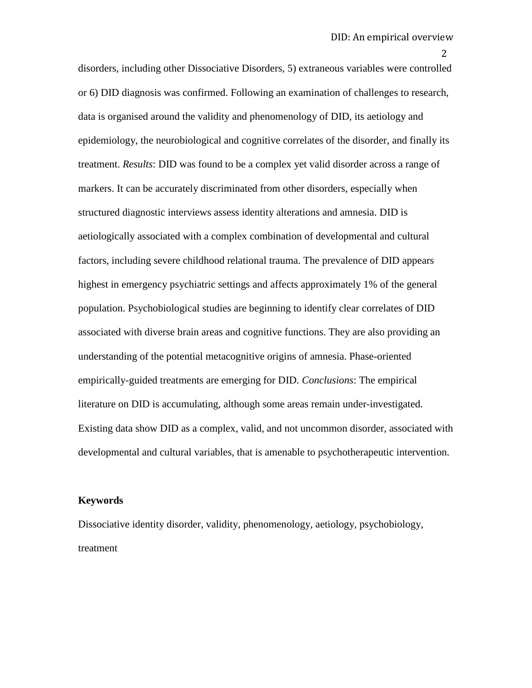disorders, including other Dissociative Disorders, 5) extraneous variables were controlled or 6) DID diagnosis was confirmed. Following an examination of challenges to research, data is organised around the validity and phenomenology of DID, its aetiology and epidemiology, the neurobiological and cognitive correlates of the disorder, and finally its treatment. *Results*: DID was found to be a complex yet valid disorder across a range of markers. It can be accurately discriminated from other disorders, especially when structured diagnostic interviews assess identity alterations and amnesia. DID is aetiologically associated with a complex combination of developmental and cultural factors, including severe childhood relational trauma. The prevalence of DID appears highest in emergency psychiatric settings and affects approximately 1% of the general population. Psychobiological studies are beginning to identify clear correlates of DID associated with diverse brain areas and cognitive functions. They are also providing an understanding of the potential metacognitive origins of amnesia. Phase-oriented empirically-guided treatments are emerging for DID. *Conclusions*: The empirical literature on DID is accumulating, although some areas remain under-investigated. Existing data show DID as a complex, valid, and not uncommon disorder, associated with developmental and cultural variables, that is amenable to psychotherapeutic intervention.

#### **Keywords**

Dissociative identity disorder, validity, phenomenology, aetiology, psychobiology, treatment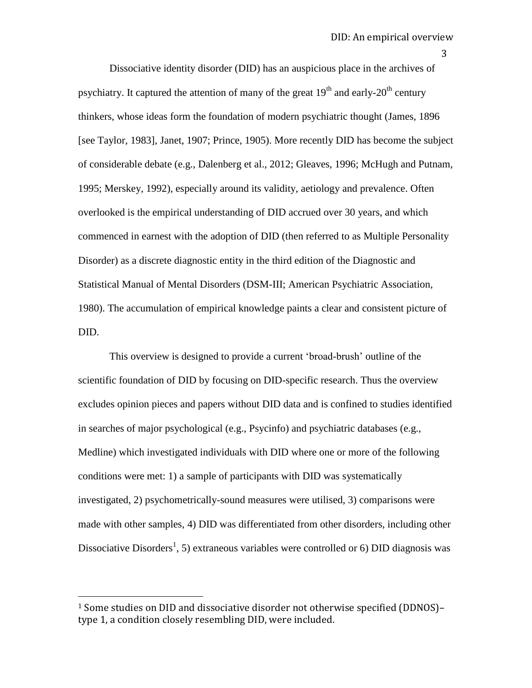Dissociative identity disorder (DID) has an auspicious place in the archives of psychiatry. It captured the attention of many of the great  $19<sup>th</sup>$  and early- $20<sup>th</sup>$  century thinkers, whose ideas form the foundation of modern psychiatric thought (James, 1896 [see Taylor, 1983], Janet, 1907; Prince, 1905). More recently DID has become the subject of considerable debate (e.g., Dalenberg et al., 2012; Gleaves, 1996; McHugh and Putnam, 1995; Merskey, 1992), especially around its validity, aetiology and prevalence. Often overlooked is the empirical understanding of DID accrued over 30 years, and which commenced in earnest with the adoption of DID (then referred to as Multiple Personality Disorder) as a discrete diagnostic entity in the third edition of the Diagnostic and Statistical Manual of Mental Disorders (DSM-III; American Psychiatric Association, 1980). The accumulation of empirical knowledge paints a clear and consistent picture of DID.

This overview is designed to provide a current "broad-brush" outline of the scientific foundation of DID by focusing on DID-specific research. Thus the overview excludes opinion pieces and papers without DID data and is confined to studies identified in searches of major psychological (e.g., Psycinfo) and psychiatric databases (e.g., Medline) which investigated individuals with DID where one or more of the following conditions were met: 1) a sample of participants with DID was systematically investigated, 2) psychometrically-sound measures were utilised, 3) comparisons were made with other samples, 4) DID was differentiated from other disorders, including other Dissociative Disorders<sup>1</sup>, 5) extraneous variables were controlled or 6) DID diagnosis was

 $\overline{a}$ 

<sup>1</sup> Some studies on DID and dissociative disorder not otherwise specified (DDNOS)– type 1, a condition closely resembling DID, were included.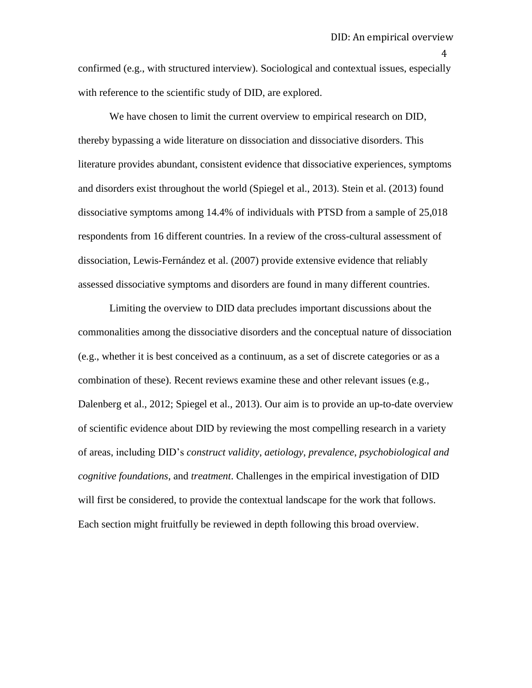confirmed (e.g., with structured interview). Sociological and contextual issues, especially with reference to the scientific study of DID, are explored.

We have chosen to limit the current overview to empirical research on DID, thereby bypassing a wide literature on dissociation and dissociative disorders. This literature provides abundant, consistent evidence that dissociative experiences, symptoms and disorders exist throughout the world (Spiegel et al., 2013). Stein et al. (2013) found dissociative symptoms among 14.4% of individuals with PTSD from a sample of 25,018 respondents from 16 different countries. In a review of the cross-cultural assessment of dissociation, Lewis-Fernández et al. (2007) provide extensive evidence that reliably assessed dissociative symptoms and disorders are found in many different countries.

Limiting the overview to DID data precludes important discussions about the commonalities among the dissociative disorders and the conceptual nature of dissociation (e.g., whether it is best conceived as a continuum, as a set of discrete categories or as a combination of these). Recent reviews examine these and other relevant issues (e.g., Dalenberg et al., 2012; Spiegel et al., 2013). Our aim is to provide an up-to-date overview of scientific evidence about DID by reviewing the most compelling research in a variety of areas, including DID"s *construct validity*, *aetiology*, *prevalence*, *psychobiological and cognitive foundations*, and *treatment*. Challenges in the empirical investigation of DID will first be considered, to provide the contextual landscape for the work that follows. Each section might fruitfully be reviewed in depth following this broad overview.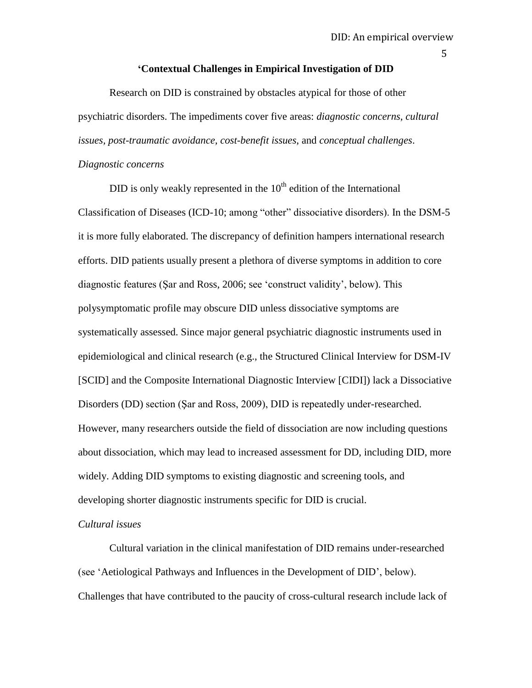#### **'Contextual Challenges in Empirical Investigation of DID**

Research on DID is constrained by obstacles atypical for those of other psychiatric disorders. The impediments cover five areas: *diagnostic concerns, cultural issues, post-traumatic avoidance, cost-benefit issues*, and *conceptual challenges*.

#### *Diagnostic concerns*

DID is only weakly represented in the  $10<sup>th</sup>$  edition of the International Classification of Diseases (ICD-10; among "other" dissociative disorders). In the DSM-5 it is more fully elaborated. The discrepancy of definition hampers international research efforts. DID patients usually present a plethora of diverse symptoms in addition to core diagnostic features (Şar and Ross, 2006; see "construct validity", below). This polysymptomatic profile may obscure DID unless dissociative symptoms are systematically assessed. Since major general psychiatric diagnostic instruments used in epidemiological and clinical research (e.g., the Structured Clinical Interview for DSM-IV [SCID] and the Composite International Diagnostic Interview [CIDI]) lack a Dissociative Disorders (DD) section (Şar and Ross, 2009), DID is repeatedly under-researched. However, many researchers outside the field of dissociation are now including questions about dissociation, which may lead to increased assessment for DD, including DID, more widely. Adding DID symptoms to existing diagnostic and screening tools, and developing shorter diagnostic instruments specific for DID is crucial.

#### *Cultural issues*

Cultural variation in the clinical manifestation of DID remains under-researched (see "Aetiological Pathways and Influences in the Development of DID", below). Challenges that have contributed to the paucity of cross-cultural research include lack of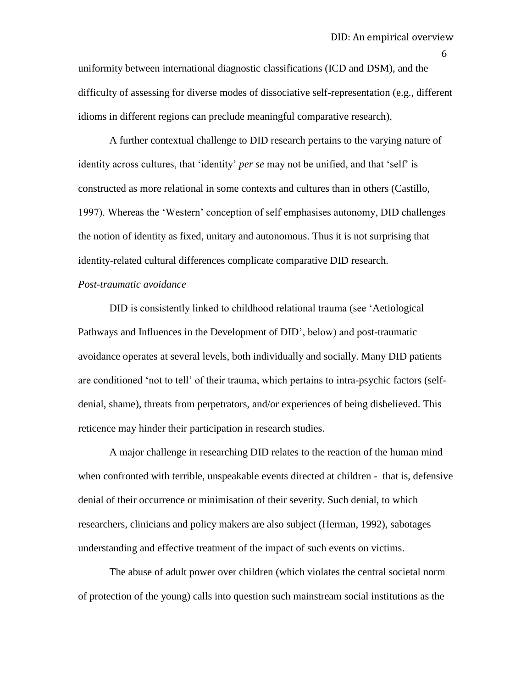uniformity between international diagnostic classifications (ICD and DSM), and the difficulty of assessing for diverse modes of dissociative self-representation (e.g., different idioms in different regions can preclude meaningful comparative research).

A further contextual challenge to DID research pertains to the varying nature of identity across cultures, that 'identity' *per se* may not be unified, and that 'self' is constructed as more relational in some contexts and cultures than in others (Castillo, 1997). Whereas the "Western" conception of self emphasises autonomy, DID challenges the notion of identity as fixed, unitary and autonomous. Thus it is not surprising that identity-related cultural differences complicate comparative DID research.

# *Post-traumatic avoidance*

DID is consistently linked to childhood relational trauma (see "Aetiological Pathways and Influences in the Development of DID", below) and post-traumatic avoidance operates at several levels, both individually and socially. Many DID patients are conditioned "not to tell" of their trauma, which pertains to intra-psychic factors (selfdenial, shame), threats from perpetrators, and/or experiences of being disbelieved. This reticence may hinder their participation in research studies.

A major challenge in researching DID relates to the reaction of the human mind when confronted with terrible, unspeakable events directed at children - that is, defensive denial of their occurrence or minimisation of their severity. Such denial, to which researchers, clinicians and policy makers are also subject (Herman, 1992), sabotages understanding and effective treatment of the impact of such events on victims.

The abuse of adult power over children (which violates the central societal norm of protection of the young) calls into question such mainstream social institutions as the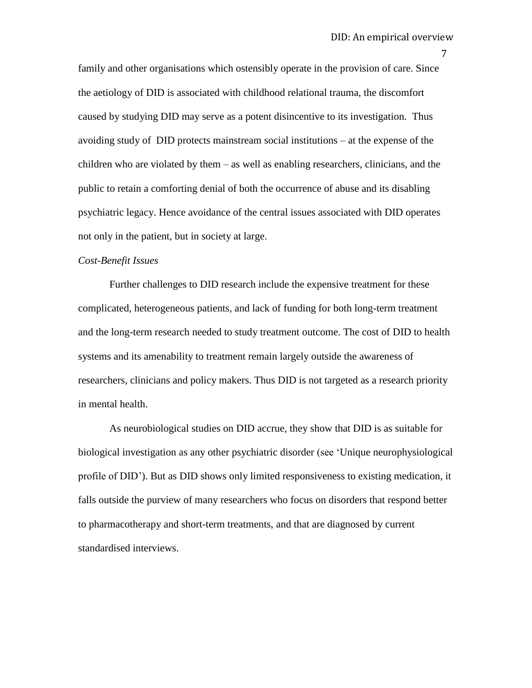family and other organisations which ostensibly operate in the provision of care. Since the aetiology of DID is associated with childhood relational trauma, the discomfort caused by studying DID may serve as a potent disincentive to its investigation. Thus avoiding study of DID protects mainstream social institutions – at the expense of the children who are violated by them – as well as enabling researchers, clinicians, and the public to retain a comforting denial of both the occurrence of abuse and its disabling psychiatric legacy. Hence avoidance of the central issues associated with DID operates not only in the patient, but in society at large.

#### *Cost-Benefit Issues*

Further challenges to DID research include the expensive treatment for these complicated, heterogeneous patients, and lack of funding for both long-term treatment and the long-term research needed to study treatment outcome. The cost of DID to health systems and its amenability to treatment remain largely outside the awareness of researchers, clinicians and policy makers. Thus DID is not targeted as a research priority in mental health.

As neurobiological studies on DID accrue, they show that DID is as suitable for biological investigation as any other psychiatric disorder (see "Unique neurophysiological profile of DID"). But as DID shows only limited responsiveness to existing medication, it falls outside the purview of many researchers who focus on disorders that respond better to pharmacotherapy and short-term treatments, and that are diagnosed by current standardised interviews.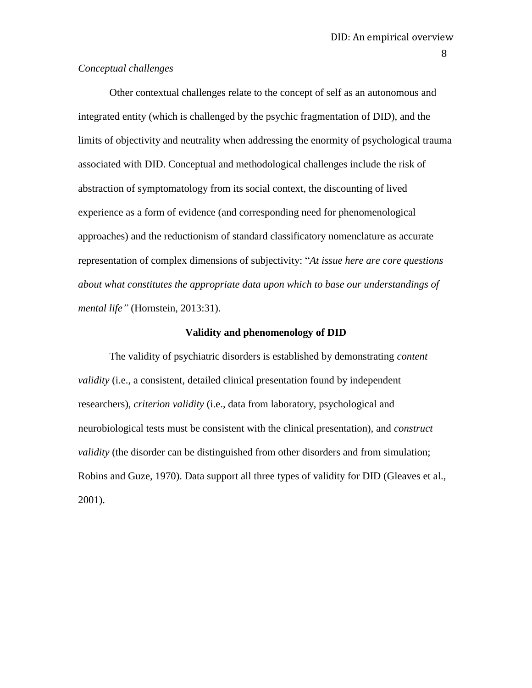# *Conceptual challenges*

Other contextual challenges relate to the concept of self as an autonomous and integrated entity (which is challenged by the psychic fragmentation of DID), and the limits of objectivity and neutrality when addressing the enormity of psychological trauma associated with DID. Conceptual and methodological challenges include the risk of abstraction of symptomatology from its social context, the discounting of lived experience as a form of evidence (and corresponding need for phenomenological approaches) and the reductionism of standard classificatory nomenclature as accurate representation of complex dimensions of subjectivity: "*At issue here are core questions about what constitutes the appropriate data upon which to base our understandings of mental life"* (Hornstein, 2013:31).

#### **Validity and phenomenology of DID**

The validity of psychiatric disorders is established by demonstrating *content validity* (i.e., a consistent, detailed clinical presentation found by independent researchers), *criterion validity* (i.e., data from laboratory, psychological and neurobiological tests must be consistent with the clinical presentation), and *construct validity* (the disorder can be distinguished from other disorders and from simulation; Robins and Guze, 1970). Data support all three types of validity for DID (Gleaves et al., 2001).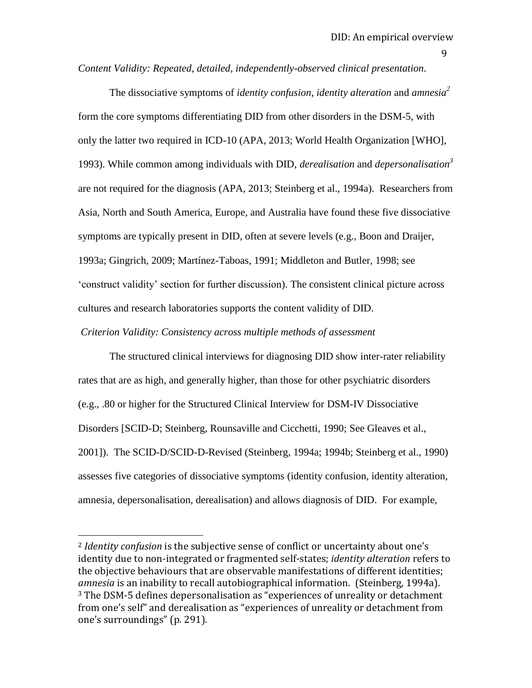*Content Validity: Repeated, detailed, independently-observed clinical presentation.*

The dissociative symptoms of *identity confusion*, *identity alteration* and *amnesia<sup>2</sup>* form the core symptoms differentiating DID from other disorders in the DSM-5, with only the latter two required in ICD-10 (APA, 2013; World Health Organization [WHO], 1993). While common among individuals with DID, *derealisation* and *depersonalisation<sup>3</sup>* are not required for the diagnosis (APA, 2013; Steinberg et al., 1994a). Researchers from Asia, North and South America, Europe, and Australia have found these five dissociative symptoms are typically present in DID, often at severe levels (e.g., Boon and Draijer, 1993a; Gingrich, 2009; Martínez-Taboas, 1991; Middleton and Butler, 1998; see "construct validity" section for further discussion). The consistent clinical picture across cultures and research laboratories supports the content validity of DID.

*Criterion Validity: Consistency across multiple methods of assessment* 

 $\overline{a}$ 

The structured clinical interviews for diagnosing DID show inter-rater reliability rates that are as high, and generally higher, than those for other psychiatric disorders (e.g., .80 or higher for the Structured Clinical Interview for DSM-IV Dissociative Disorders [SCID-D; Steinberg, Rounsaville and Cicchetti, 1990; See Gleaves et al., 2001]). The SCID-D/SCID-D-Revised (Steinberg, 1994a; 1994b; Steinberg et al., 1990) assesses five categories of dissociative symptoms (identity confusion, identity alteration, amnesia, depersonalisation, derealisation) and allows diagnosis of DID. For example,

<sup>2</sup> *Identity confusion* is the subjective sense of conflict or uncertainty about one's identity due to non-integrated or fragmented self-states; *identity alteration* refers to the objective behaviours that are observable manifestations of different identities; *amnesia* is an inability to recall autobiographical information. (Steinberg, 1994a). <sup>3</sup> The DSM-5 defines depersonalisation as "experiences of unreality or detachment from one's self" and derealisation as "experiences of unreality or detachment from one's surroundings" (p. 291).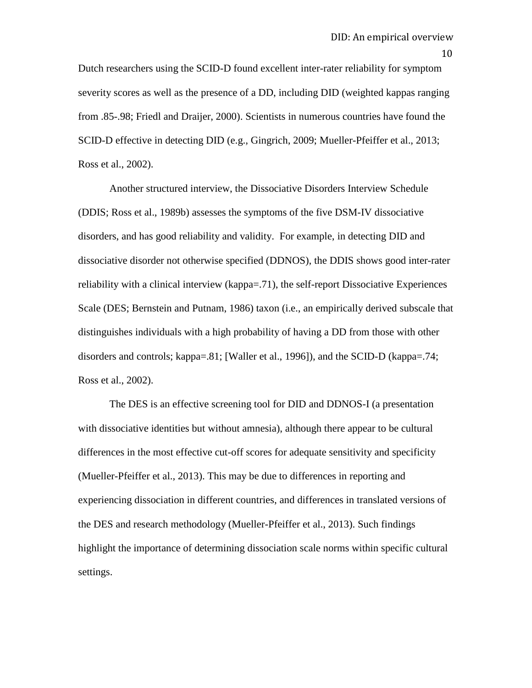Dutch researchers using the SCID-D found excellent inter-rater reliability for symptom severity scores as well as the presence of a DD, including DID (weighted kappas ranging from .85-.98; Friedl and Draijer, 2000). Scientists in numerous countries have found the SCID-D effective in detecting DID (e.g., Gingrich, 2009; Mueller-Pfeiffer et al., 2013; Ross et al., 2002).

Another structured interview, the Dissociative Disorders Interview Schedule (DDIS; Ross et al., 1989b) assesses the symptoms of the five DSM-IV dissociative disorders, and has good reliability and validity. For example, in detecting DID and dissociative disorder not otherwise specified (DDNOS), the DDIS shows good inter-rater reliability with a clinical interview (kappa=.71), the self-report Dissociative Experiences Scale (DES; Bernstein and Putnam, 1986) taxon (i.e., an empirically derived subscale that distinguishes individuals with a high probability of having a DD from those with other disorders and controls; kappa=.81; [Waller et al., 1996]), and the SCID-D (kappa=.74; Ross et al., 2002).

The DES is an effective screening tool for DID and DDNOS-I (a presentation with dissociative identities but without amnesia), although there appear to be cultural differences in the most effective cut-off scores for adequate sensitivity and specificity (Mueller-Pfeiffer et al., 2013). This may be due to differences in reporting and experiencing dissociation in different countries, and differences in translated versions of the DES and research methodology (Mueller-Pfeiffer et al., 2013). Such findings highlight the importance of determining dissociation scale norms within specific cultural settings.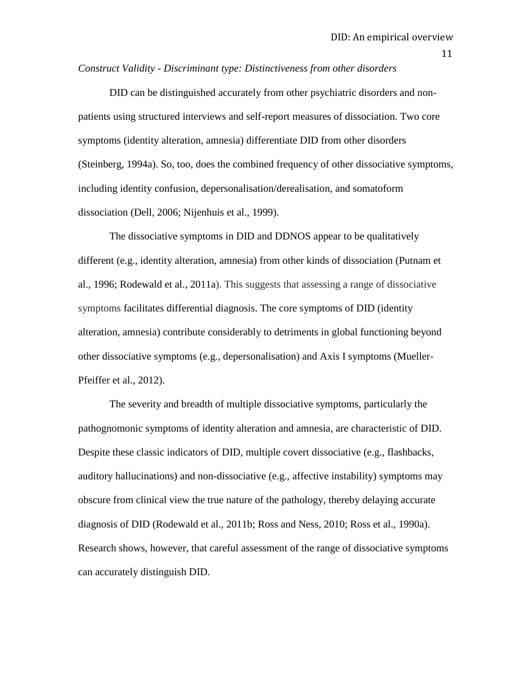*Construct Validity - Discriminant type: Distinctiveness from other disorders*

DID can be distinguished accurately from other psychiatric disorders and nonpatients using structured interviews and self-report measures of dissociation. Two core symptoms (identity alteration, amnesia) differentiate DID from other disorders (Steinberg, 1994a). So, too, does the combined frequency of other dissociative symptoms, including identity confusion, depersonalisation/derealisation, and somatoform dissociation (Dell, 2006; Nijenhuis et al., 1999).

The dissociative symptoms in DID and DDNOS appear to be qualitatively different (e.g., identity alteration, amnesia) from other kinds of dissociation (Putnam et al., 1996; Rodewald et al., 2011a). This suggests that assessing a range of dissociative symptoms facilitates differential diagnosis. The core symptoms of DID (identity alteration, amnesia) contribute considerably to detriments in global functioning beyond other dissociative symptoms (e.g., depersonalisation) and Axis I symptoms (Mueller-Pfeiffer et al., 2012).

The severity and breadth of multiple dissociative symptoms, particularly the pathognomonic symptoms of identity alteration and amnesia, are characteristic of DID. Despite these classic indicators of DID, multiple covert dissociative (e.g., flashbacks, auditory hallucinations) and non-dissociative (e.g., affective instability) symptoms may obscure from clinical view the true nature of the pathology, thereby delaying accurate diagnosis of DID (Rodewald et al., 2011b; Ross and Ness, 2010; Ross et al., 1990a). Research shows, however, that careful assessment of the range of dissociative symptoms can accurately distinguish DID.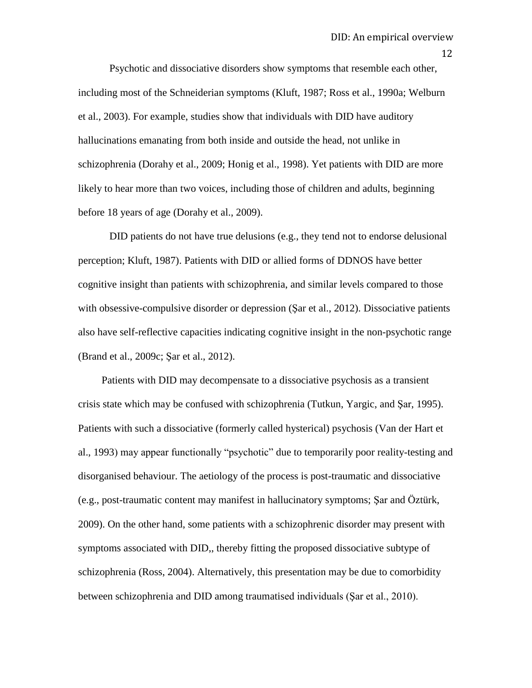Psychotic and dissociative disorders show symptoms that resemble each other, including most of the Schneiderian symptoms (Kluft, 1987; Ross et al., 1990a; Welburn et al., 2003). For example, studies show that individuals with DID have auditory hallucinations emanating from both inside and outside the head, not unlike in schizophrenia (Dorahy et al., 2009; Honig et al., 1998). Yet patients with DID are more likely to hear more than two voices, including those of children and adults, beginning before 18 years of age (Dorahy et al., 2009).

DID patients do not have true delusions (e.g., they tend not to endorse delusional perception; Kluft, 1987). Patients with DID or allied forms of DDNOS have better cognitive insight than patients with schizophrenia, and similar levels compared to those with obsessive-compulsive disorder or depression (Sar et al., 2012). Dissociative patients also have self-reflective capacities indicating cognitive insight in the non-psychotic range (Brand et al., 2009c; Şar et al., 2012).

 Patients with DID may decompensate to a dissociative psychosis as a transient crisis state which may be confused with schizophrenia (Tutkun, Yargic, and Şar, 1995). Patients with such a dissociative (formerly called hysterical) psychosis (Van der Hart et al., 1993) may appear functionally "psychotic" due to temporarily poor reality-testing and disorganised behaviour. The aetiology of the process is post-traumatic and dissociative (e.g., post-traumatic content may manifest in hallucinatory symptoms; Şar and Öztürk, 2009). On the other hand, some patients with a schizophrenic disorder may present with symptoms associated with DID,, thereby fitting the proposed dissociative subtype of schizophrenia (Ross, 2004). Alternatively, this presentation may be due to comorbidity between schizophrenia and DID among traumatised individuals (Şar et al., 2010).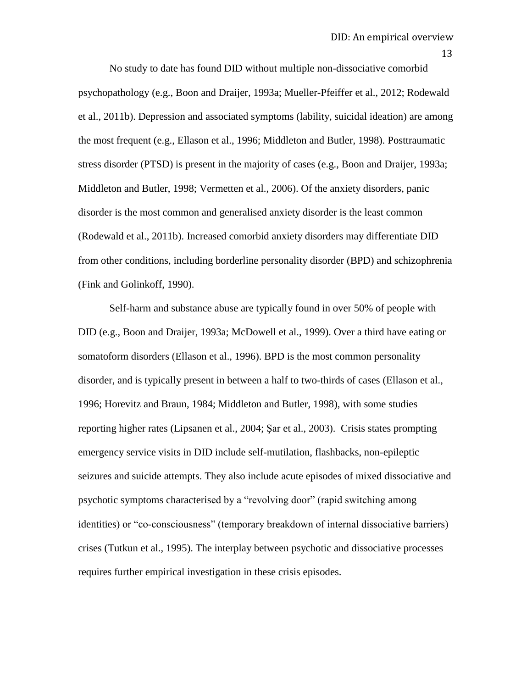No study to date has found DID without multiple non-dissociative comorbid psychopathology (e.g., Boon and Draijer, 1993a; Mueller-Pfeiffer et al., 2012; Rodewald et al., 2011b). Depression and associated symptoms (lability, suicidal ideation) are among the most frequent (e.g., Ellason et al., 1996; Middleton and Butler, 1998). Posttraumatic stress disorder (PTSD) is present in the majority of cases (e.g., Boon and Draijer, 1993a; Middleton and Butler, 1998; Vermetten et al., 2006). Of the anxiety disorders, panic disorder is the most common and generalised anxiety disorder is the least common (Rodewald et al., 2011b). Increased comorbid anxiety disorders may differentiate DID from other conditions, including borderline personality disorder (BPD) and schizophrenia (Fink and Golinkoff, 1990).

Self-harm and substance abuse are typically found in over 50% of people with DID (e.g., Boon and Draijer, 1993a; McDowell et al., 1999). Over a third have eating or somatoform disorders (Ellason et al., 1996). BPD is the most common personality disorder, and is typically present in between a half to two-thirds of cases (Ellason et al., 1996; Horevitz and Braun, 1984; Middleton and Butler, 1998), with some studies reporting higher rates (Lipsanen et al., 2004; Şar et al., 2003). Crisis states prompting emergency service visits in DID include self-mutilation, flashbacks, non-epileptic seizures and suicide attempts. They also include acute episodes of mixed dissociative and psychotic symptoms characterised by a "revolving door" (rapid switching among identities) or "co-consciousness" (temporary breakdown of internal dissociative barriers) crises (Tutkun et al., 1995). The interplay between psychotic and dissociative processes requires further empirical investigation in these crisis episodes.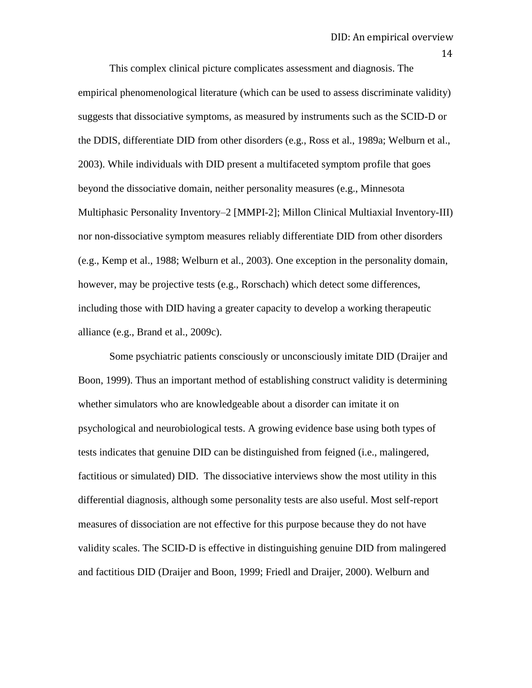This complex clinical picture complicates assessment and diagnosis. The empirical phenomenological literature (which can be used to assess discriminate validity) suggests that dissociative symptoms, as measured by instruments such as the SCID-D or the DDIS, differentiate DID from other disorders (e.g., Ross et al., 1989a; Welburn et al., 2003). While individuals with DID present a multifaceted symptom profile that goes beyond the dissociative domain, neither personality measures (e.g., Minnesota Multiphasic Personality Inventory–2 [MMPI-2]; Millon Clinical Multiaxial Inventory-III) nor non-dissociative symptom measures reliably differentiate DID from other disorders (e.g., Kemp et al., 1988; Welburn et al., 2003). One exception in the personality domain, however, may be projective tests (e.g., Rorschach) which detect some differences, including those with DID having a greater capacity to develop a working therapeutic alliance (e.g., Brand et al., 2009c).

Some psychiatric patients consciously or unconsciously imitate DID (Draijer and Boon, 1999). Thus an important method of establishing construct validity is determining whether simulators who are knowledgeable about a disorder can imitate it on psychological and neurobiological tests. A growing evidence base using both types of tests indicates that genuine DID can be distinguished from feigned (i.e., malingered, factitious or simulated) DID. The dissociative interviews show the most utility in this differential diagnosis, although some personality tests are also useful. Most self-report measures of dissociation are not effective for this purpose because they do not have validity scales. The SCID-D is effective in distinguishing genuine DID from malingered and factitious DID (Draijer and Boon, 1999; Friedl and Draijer, 2000). Welburn and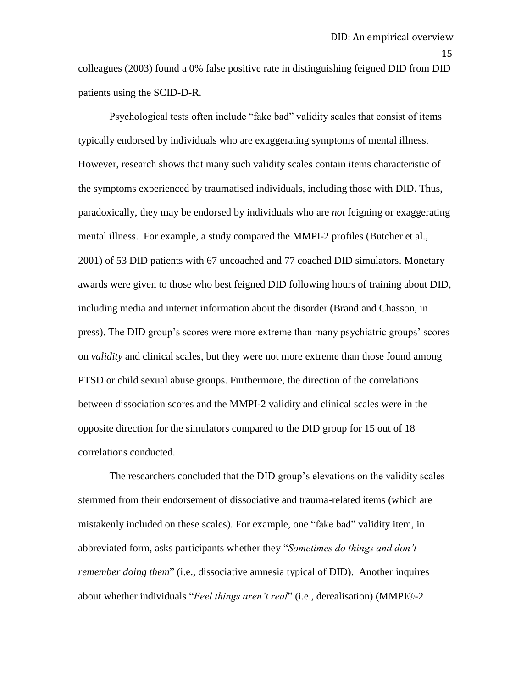15

colleagues (2003) found a 0% false positive rate in distinguishing feigned DID from DID patients using the SCID-D-R.

Psychological tests often include "fake bad" validity scales that consist of items typically endorsed by individuals who are exaggerating symptoms of mental illness. However, research shows that many such validity scales contain items characteristic of the symptoms experienced by traumatised individuals, including those with DID. Thus, paradoxically, they may be endorsed by individuals who are *not* feigning or exaggerating mental illness. For example, a study compared the MMPI-2 profiles (Butcher et al., 2001) of 53 DID patients with 67 uncoached and 77 coached DID simulators. Monetary awards were given to those who best feigned DID following hours of training about DID, including media and internet information about the disorder (Brand and Chasson, in press). The DID group"s scores were more extreme than many psychiatric groups" scores on *validity* and clinical scales, but they were not more extreme than those found among PTSD or child sexual abuse groups. Furthermore, the direction of the correlations between dissociation scores and the MMPI-2 validity and clinical scales were in the opposite direction for the simulators compared to the DID group for 15 out of 18 correlations conducted.

The researchers concluded that the DID group's elevations on the validity scales stemmed from their endorsement of dissociative and trauma-related items (which are mistakenly included on these scales). For example, one "fake bad" validity item, in abbreviated form, asks participants whether they "*Sometimes do things and don't remember doing them*" (i.e., dissociative amnesia typical of DID). Another inquires about whether individuals "*Feel things aren't real*" (i.e., derealisation) (MMPI®-2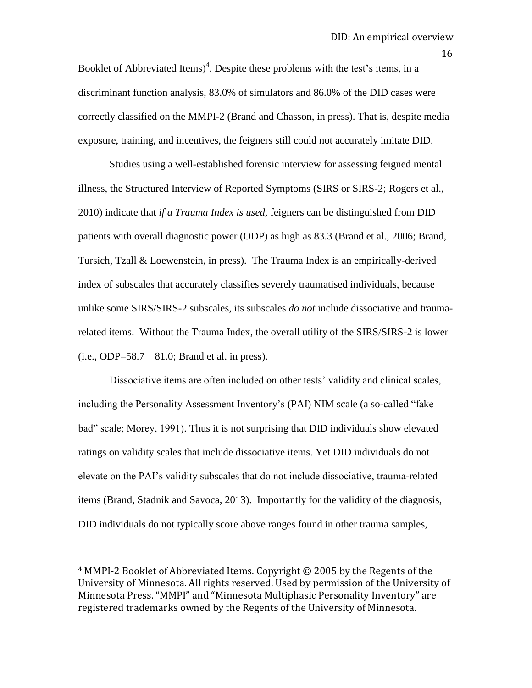Booklet of Abbreviated Items)<sup>4</sup>. Despite these problems with the test's items, in a discriminant function analysis, 83.0% of simulators and 86.0% of the DID cases were correctly classified on the MMPI-2 (Brand and Chasson, in press). That is, despite media exposure, training, and incentives, the feigners still could not accurately imitate DID.

Studies using a well-established forensic interview for assessing feigned mental illness, the Structured Interview of Reported Symptoms (SIRS or SIRS-2; Rogers et al., 2010) indicate that *if a Trauma Index is used,* feigners can be distinguished from DID patients with overall diagnostic power (ODP) as high as 83.3 (Brand et al., 2006; Brand, Tursich, Tzall & Loewenstein, in press). The Trauma Index is an empirically-derived index of subscales that accurately classifies severely traumatised individuals, because unlike some SIRS/SIRS-2 subscales, its subscales *do not* include dissociative and traumarelated items. Without the Trauma Index, the overall utility of the SIRS/SIRS-2 is lower  $(i.e., ODP = 58.7 - 81.0; Brand et al. in press).$ 

Dissociative items are often included on other tests' validity and clinical scales, including the Personality Assessment Inventory"s (PAI) NIM scale (a so-called "fake bad" scale; Morey, 1991). Thus it is not surprising that DID individuals show elevated ratings on validity scales that include dissociative items. Yet DID individuals do not elevate on the PAI"s validity subscales that do not include dissociative, trauma-related items (Brand, Stadnik and Savoca, 2013). Importantly for the validity of the diagnosis, DID individuals do not typically score above ranges found in other trauma samples,

l

16

<sup>4</sup> MMPI-2 Booklet of Abbreviated Items. Copyright © 2005 by the Regents of the University of Minnesota. All rights reserved. Used by permission of the University of Minnesota Press. "MMPI" and "Minnesota Multiphasic Personality Inventory" are registered trademarks owned by the Regents of the University of Minnesota.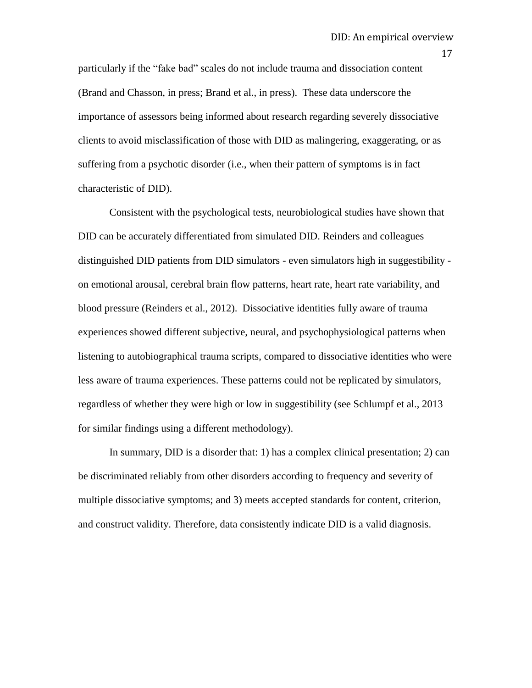particularly if the "fake bad" scales do not include trauma and dissociation content (Brand and Chasson, in press; Brand et al., in press). These data underscore the importance of assessors being informed about research regarding severely dissociative clients to avoid misclassification of those with DID as malingering, exaggerating, or as suffering from a psychotic disorder (i.e., when their pattern of symptoms is in fact characteristic of DID).

Consistent with the psychological tests, neurobiological studies have shown that DID can be accurately differentiated from simulated DID. Reinders and colleagues distinguished DID patients from DID simulators - even simulators high in suggestibility on emotional arousal, cerebral brain flow patterns, heart rate, heart rate variability, and blood pressure (Reinders et al., 2012). Dissociative identities fully aware of trauma experiences showed different subjective, neural, and psychophysiological patterns when listening to autobiographical trauma scripts, compared to dissociative identities who were less aware of trauma experiences. These patterns could not be replicated by simulators, regardless of whether they were high or low in suggestibility (see Schlumpf et al., 2013 for similar findings using a different methodology).

In summary, DID is a disorder that: 1) has a complex clinical presentation; 2) can be discriminated reliably from other disorders according to frequency and severity of multiple dissociative symptoms; and 3) meets accepted standards for content, criterion, and construct validity. Therefore, data consistently indicate DID is a valid diagnosis.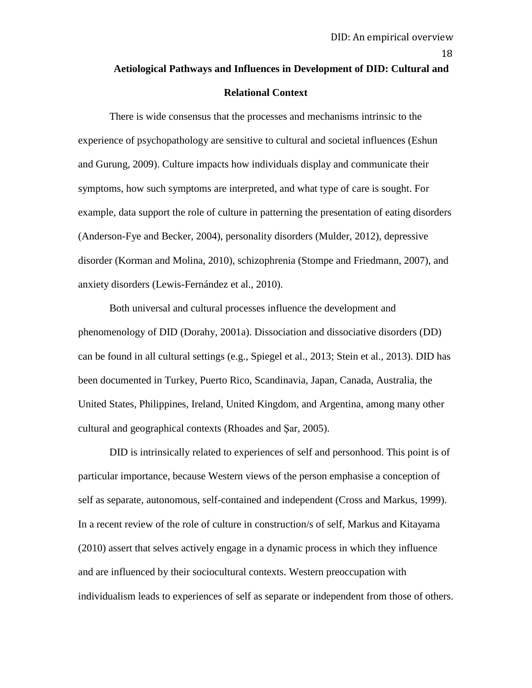# **Aetiological Pathways and Influences in Development of DID: Cultural and Relational Context**

There is wide consensus that the processes and mechanisms intrinsic to the experience of psychopathology are sensitive to cultural and societal influences (Eshun and Gurung, 2009). Culture impacts how individuals display and communicate their symptoms, how such symptoms are interpreted, and what type of care is sought. For example, data support the role of culture in patterning the presentation of eating disorders (Anderson-Fye and Becker, 2004), personality disorders (Mulder, 2012), depressive disorder (Korman and Molina, 2010), schizophrenia (Stompe and Friedmann, 2007), and anxiety disorders (Lewis-Fernández et al., 2010).

Both universal and cultural processes influence the development and phenomenology of DID (Dorahy, 2001a). Dissociation and dissociative disorders (DD) can be found in all cultural settings (e.g., Spiegel et al., 2013; Stein et al., 2013). DID has been documented in Turkey, Puerto Rico, Scandinavia, Japan, Canada, Australia, the United States, Philippines, Ireland, United Kingdom, and Argentina, among many other cultural and geographical contexts (Rhoades and Şar, 2005).

DID is intrinsically related to experiences of self and personhood. This point is of particular importance, because Western views of the person emphasise a conception of self as separate, autonomous, self-contained and independent (Cross and Markus, 1999). In a recent review of the role of culture in construction/s of self, Markus and Kitayama (2010) assert that selves actively engage in a dynamic process in which they influence and are influenced by their sociocultural contexts. Western preoccupation with individualism leads to experiences of self as separate or independent from those of others.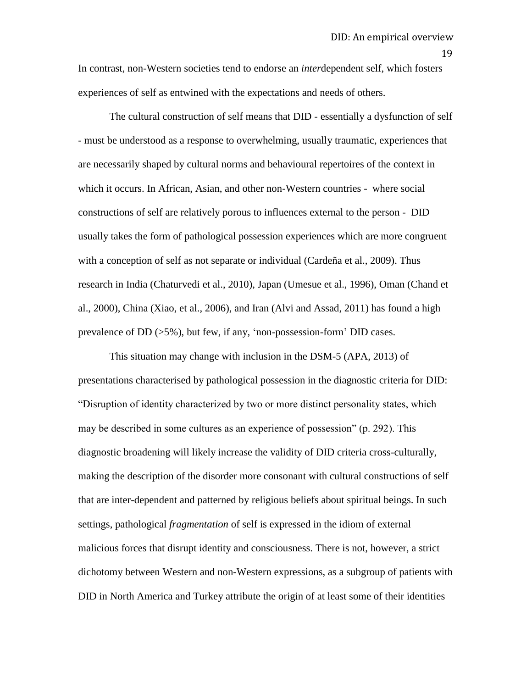In contrast, non-Western societies tend to endorse an *inter*dependent self, which fosters experiences of self as entwined with the expectations and needs of others.

The cultural construction of self means that DID - essentially a dysfunction of self - must be understood as a response to overwhelming, usually traumatic, experiences that are necessarily shaped by cultural norms and behavioural repertoires of the context in which it occurs. In African, Asian, and other non-Western countries - where social constructions of self are relatively porous to influences external to the person - DID usually takes the form of pathological possession experiences which are more congruent with a conception of self as not separate or individual (Cardeña et al., 2009). Thus research in India (Chaturvedi et al., 2010), Japan (Umesue et al., 1996), Oman (Chand et al., 2000), China (Xiao, et al., 2006), and Iran (Alvi and Assad, 2011) has found a high prevalence of DD (>5%), but few, if any, "non-possession-form" DID cases.

This situation may change with inclusion in the DSM-5 (APA, 2013) of presentations characterised by pathological possession in the diagnostic criteria for DID: "Disruption of identity characterized by two or more distinct personality states, which may be described in some cultures as an experience of possession" (p. 292). This diagnostic broadening will likely increase the validity of DID criteria cross-culturally, making the description of the disorder more consonant with cultural constructions of self that are inter-dependent and patterned by religious beliefs about spiritual beings. In such settings, pathological *fragmentation* of self is expressed in the idiom of external malicious forces that disrupt identity and consciousness. There is not, however, a strict dichotomy between Western and non-Western expressions, as a subgroup of patients with DID in North America and Turkey attribute the origin of at least some of their identities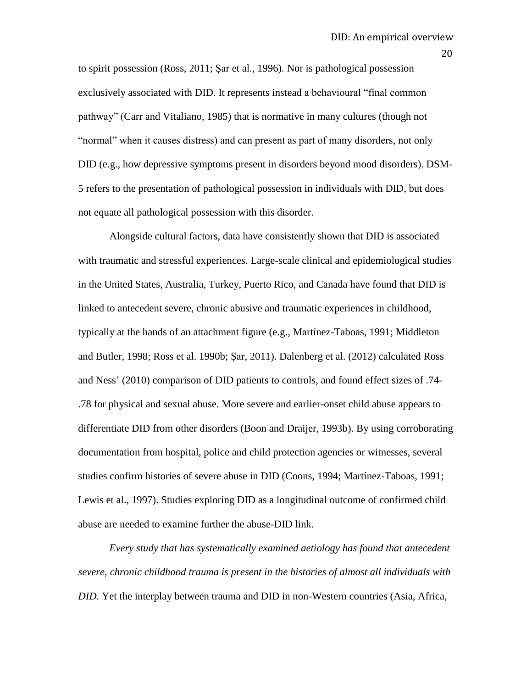to spirit possession (Ross, 2011; Şar et al., 1996). Nor is pathological possession exclusively associated with DID. It represents instead a behavioural "final common pathway" (Carr and Vitaliano, 1985) that is normative in many cultures (though not "normal" when it causes distress) and can present as part of many disorders, not only DID (e.g., how depressive symptoms present in disorders beyond mood disorders). DSM-5 refers to the presentation of pathological possession in individuals with DID, but does not equate all pathological possession with this disorder.

Alongside cultural factors, data have consistently shown that DID is associated with traumatic and stressful experiences. Large-scale clinical and epidemiological studies in the United States, Australia, Turkey, Puerto Rico, and Canada have found that DID is linked to antecedent severe, chronic abusive and traumatic experiences in childhood, typically at the hands of an attachment figure (e.g., Martínez-Taboas, 1991; Middleton and Butler, 1998; Ross et al. 1990b; Şar, 2011). Dalenberg et al. (2012) calculated Ross and Ness" (2010) comparison of DID patients to controls, and found effect sizes of .74- .78 for physical and sexual abuse. More severe and earlier-onset child abuse appears to differentiate DID from other disorders (Boon and Draijer, 1993b). By using corroborating documentation from hospital, police and child protection agencies or witnesses, several studies confirm histories of severe abuse in DID (Coons, 1994; Martínez-Taboas, 1991; Lewis et al., 1997). Studies exploring DID as a longitudinal outcome of confirmed child abuse are needed to examine further the abuse-DID link.

*Every study that has systematically examined aetiology has found that antecedent severe, chronic childhood trauma is present in the histories of almost all individuals with DID.* Yet the interplay between trauma and DID in non-Western countries (Asia, Africa,

20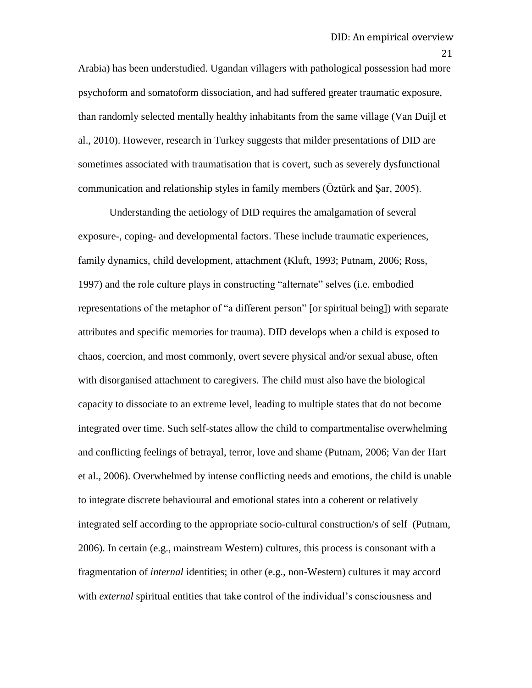Arabia) has been understudied. Ugandan villagers with pathological possession had more psychoform and somatoform dissociation, and had suffered greater traumatic exposure, than randomly selected mentally healthy inhabitants from the same village (Van Duijl et al., 2010). However, research in Turkey suggests that milder presentations of DID are sometimes associated with traumatisation that is covert, such as severely dysfunctional communication and relationship styles in family members (Öztürk and Şar, 2005).

Understanding the aetiology of DID requires the amalgamation of several exposure-, coping- and developmental factors. These include traumatic experiences, family dynamics, child development, attachment (Kluft, 1993; Putnam, 2006; Ross, 1997) and the role culture plays in constructing "alternate" selves (i.e. embodied representations of the metaphor of "a different person" [or spiritual being]) with separate attributes and specific memories for trauma). DID develops when a child is exposed to chaos, coercion, and most commonly, overt severe physical and/or sexual abuse, often with disorganised attachment to caregivers. The child must also have the biological capacity to dissociate to an extreme level, leading to multiple states that do not become integrated over time. Such self-states allow the child to compartmentalise overwhelming and conflicting feelings of betrayal, terror, love and shame (Putnam, 2006; Van der Hart et al., 2006). Overwhelmed by intense conflicting needs and emotions, the child is unable to integrate discrete behavioural and emotional states into a coherent or relatively integrated self according to the appropriate socio-cultural construction/s of self (Putnam, 2006). In certain (e.g., mainstream Western) cultures, this process is consonant with a fragmentation of *internal* identities; in other (e.g., non-Western) cultures it may accord with *external* spiritual entities that take control of the individual"s consciousness and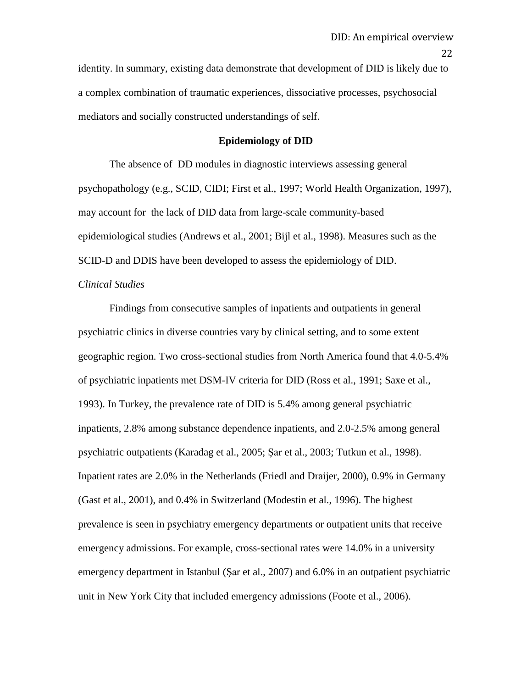identity. In summary, existing data demonstrate that development of DID is likely due to a complex combination of traumatic experiences, dissociative processes, psychosocial mediators and socially constructed understandings of self.

#### **Epidemiology of DID**

The absence of DD modules in diagnostic interviews assessing general psychopathology (e.g., SCID, CIDI; First et al., 1997; World Health Organization, 1997), may account for the lack of DID data from large-scale community-based epidemiological studies (Andrews et al., 2001; Bijl et al., 1998). Measures such as the SCID-D and DDIS have been developed to assess the epidemiology of DID.

#### *Clinical Studies*

Findings from consecutive samples of inpatients and outpatients in general psychiatric clinics in diverse countries vary by clinical setting, and to some extent geographic region. Two cross-sectional studies from North America found that 4.0-5.4% of psychiatric inpatients met DSM-IV criteria for DID (Ross et al., 1991; Saxe et al., 1993). In Turkey, the prevalence rate of DID is 5.4% among general psychiatric inpatients, 2.8% among substance dependence inpatients, and 2.0-2.5% among general psychiatric outpatients (Karadag et al., 2005; Şar et al., 2003; Tutkun et al., 1998). Inpatient rates are 2.0% in the Netherlands (Friedl and Draijer, 2000), 0.9% in Germany (Gast et al., 2001), and 0.4% in Switzerland (Modestin et al., 1996). The highest prevalence is seen in psychiatry emergency departments or outpatient units that receive emergency admissions. For example, cross-sectional rates were 14.0% in a university emergency department in Istanbul (Şar et al., 2007) and 6.0% in an outpatient psychiatric unit in New York City that included emergency admissions (Foote et al., 2006).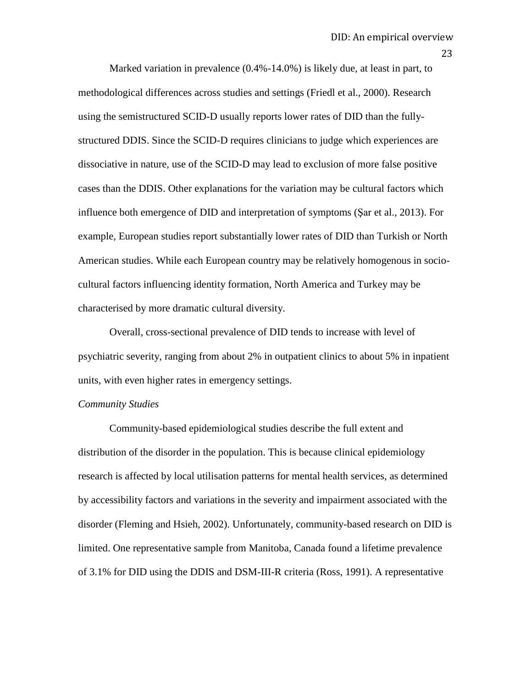Marked variation in prevalence (0.4%-14.0%) is likely due, at least in part, to methodological differences across studies and settings (Friedl et al., 2000). Research using the semistructured SCID-D usually reports lower rates of DID than the fullystructured DDIS. Since the SCID-D requires clinicians to judge which experiences are dissociative in nature, use of the SCID-D may lead to exclusion of more false positive cases than the DDIS. Other explanations for the variation may be cultural factors which influence both emergence of DID and interpretation of symptoms (Şar et al., 2013). For example, European studies report substantially lower rates of DID than Turkish or North American studies. While each European country may be relatively homogenous in sociocultural factors influencing identity formation, North America and Turkey may be characterised by more dramatic cultural diversity.

Overall, cross-sectional prevalence of DID tends to increase with level of psychiatric severity, ranging from about 2% in outpatient clinics to about 5% in inpatient units, with even higher rates in emergency settings.

#### *Community Studies*

Community-based epidemiological studies describe the full extent and distribution of the disorder in the population. This is because clinical epidemiology research is affected by local utilisation patterns for mental health services, as determined by accessibility factors and variations in the severity and impairment associated with the disorder (Fleming and Hsieh, 2002). Unfortunately, community-based research on DID is limited. One representative sample from Manitoba, Canada found a lifetime prevalence of 3.1% for DID using the DDIS and DSM-III-R criteria (Ross, 1991). A representative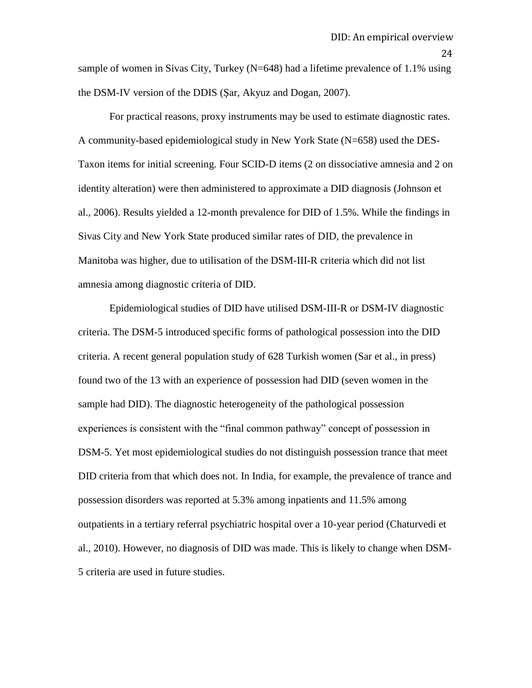sample of women in Sivas City, Turkey (N=648) had a lifetime prevalence of 1.1% using the DSM-IV version of the DDIS (Şar, Akyuz and Dogan, 2007).

For practical reasons, proxy instruments may be used to estimate diagnostic rates. A community-based epidemiological study in New York State (N=658) used the DES-Taxon items for initial screening. Four SCID-D items (2 on dissociative amnesia and 2 on identity alteration) were then administered to approximate a DID diagnosis (Johnson et al., 2006). Results yielded a 12-month prevalence for DID of 1.5%. While the findings in Sivas City and New York State produced similar rates of DID, the prevalence in Manitoba was higher, due to utilisation of the DSM-III-R criteria which did not list amnesia among diagnostic criteria of DID.

Epidemiological studies of DID have utilised DSM-III-R or DSM-IV diagnostic criteria. The DSM-5 introduced specific forms of pathological possession into the DID criteria. A recent general population study of 628 Turkish women (Sar et al., in press) found two of the 13 with an experience of possession had DID (seven women in the sample had DID). The diagnostic heterogeneity of the pathological possession experiences is consistent with the "final common pathway" concept of possession in DSM-5. Yet most epidemiological studies do not distinguish possession trance that meet DID criteria from that which does not. In India, for example, the prevalence of trance and possession disorders was reported at 5.3% among inpatients and 11.5% among outpatients in a tertiary referral psychiatric hospital over a 10-year period (Chaturvedi et al., 2010). However, no diagnosis of DID was made. This is likely to change when DSM-5 criteria are used in future studies.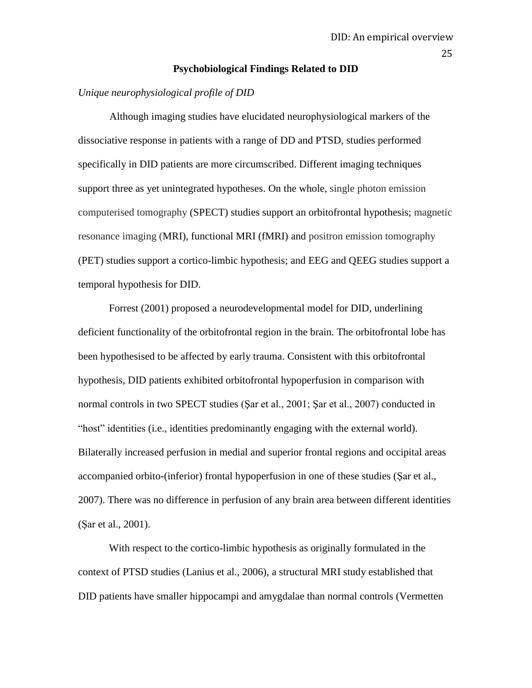#### **Psychobiological Findings Related to DID**

# *Unique neurophysiological profile of DID*

Although imaging studies have elucidated neurophysiological markers of the dissociative response in patients with a range of DD and PTSD, studies performed specifically in DID patients are more circumscribed. Different imaging techniques support three as yet unintegrated hypotheses. On the whole, single photon emission computerised tomography (SPECT) studies support an orbitofrontal hypothesis; magnetic resonance imaging (MRI), functional MRI (fMRI) and positron emission tomography (PET) studies support a cortico-limbic hypothesis; and EEG and QEEG studies support a temporal hypothesis for DID.

Forrest (2001) proposed a neurodevelopmental model for DID, underlining deficient functionality of the orbitofrontal region in the brain. The orbitofrontal lobe has been hypothesised to be affected by early trauma. Consistent with this orbitofrontal hypothesis, DID patients exhibited orbitofrontal hypoperfusion in comparison with normal controls in two SPECT studies (Şar et al., 2001; Şar et al., 2007) conducted in "host" identities (i.e., identities predominantly engaging with the external world). Bilaterally increased perfusion in medial and superior frontal regions and occipital areas accompanied orbito-(inferior) frontal hypoperfusion in one of these studies (Şar et al., 2007). There was no difference in perfusion of any brain area between different identities (Şar et al., 2001).

With respect to the cortico-limbic hypothesis as originally formulated in the context of PTSD studies (Lanius et al., 2006), a structural MRI study established that DID patients have smaller hippocampi and amygdalae than normal controls (Vermetten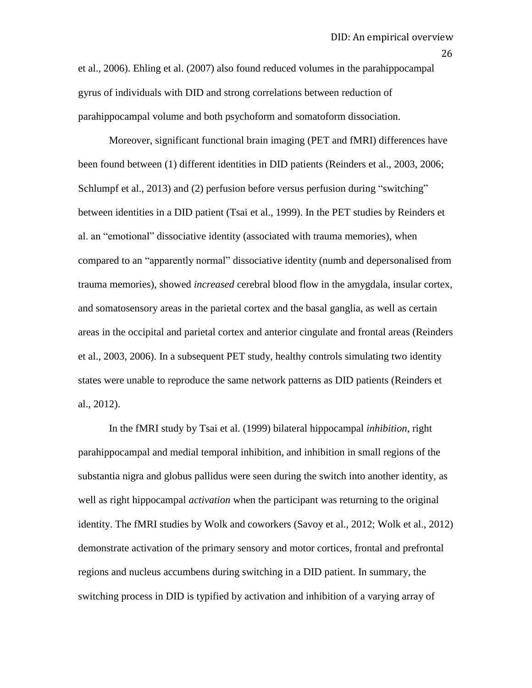et al., 2006). Ehling et al. (2007) also found reduced volumes in the parahippocampal gyrus of individuals with DID and strong correlations between reduction of parahippocampal volume and both psychoform and somatoform dissociation.

Moreover, significant functional brain imaging (PET and fMRI) differences have been found between (1) different identities in DID patients (Reinders et al., 2003, 2006; Schlumpf et al., 2013) and (2) perfusion before versus perfusion during "switching" between identities in a DID patient (Tsai et al., 1999). In the PET studies by Reinders et al. an "emotional" dissociative identity (associated with trauma memories), when compared to an "apparently normal" dissociative identity (numb and depersonalised from trauma memories), showed *increased* cerebral blood flow in the amygdala, insular cortex, and somatosensory areas in the parietal cortex and the basal ganglia, as well as certain areas in the occipital and parietal cortex and anterior cingulate and frontal areas (Reinders et al., 2003, 2006). In a subsequent PET study, healthy controls simulating two identity states were unable to reproduce the same network patterns as DID patients (Reinders et al., 2012).

In the fMRI study by Tsai et al. (1999) bilateral hippocampal *inhibition*, right parahippocampal and medial temporal inhibition, and inhibition in small regions of the substantia nigra and globus pallidus were seen during the switch into another identity, as well as right hippocampal *activation* when the participant was returning to the original identity. The fMRI studies by Wolk and coworkers (Savoy et al., 2012; Wolk et al., 2012) demonstrate activation of the primary sensory and motor cortices, frontal and prefrontal regions and nucleus accumbens during switching in a DID patient. In summary, the switching process in DID is typified by activation and inhibition of a varying array of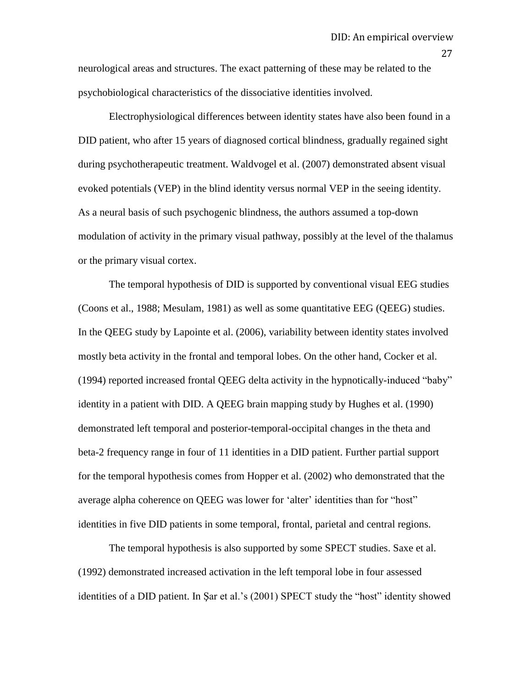neurological areas and structures. The exact patterning of these may be related to the psychobiological characteristics of the dissociative identities involved.

Electrophysiological differences between identity states have also been found in a DID patient, who after 15 years of diagnosed cortical blindness, gradually regained sight during psychotherapeutic treatment. Waldvogel et al. (2007) demonstrated absent visual evoked potentials (VEP) in the blind identity versus normal VEP in the seeing identity. As a neural basis of such psychogenic blindness, the authors assumed a top-down modulation of activity in the primary visual pathway, possibly at the level of the thalamus or the primary visual cortex.

The temporal hypothesis of DID is supported by conventional visual EEG studies (Coons et al., 1988; Mesulam, 1981) as well as some quantitative EEG (QEEG) studies. In the QEEG study by Lapointe et al. (2006), variability between identity states involved mostly beta activity in the frontal and temporal lobes. On the other hand, Cocker et al. (1994) reported increased frontal QEEG delta activity in the hypnotically-induced "baby" identity in a patient with DID. A QEEG brain mapping study by Hughes et al. (1990) demonstrated left temporal and posterior-temporal-occipital changes in the theta and beta-2 frequency range in four of 11 identities in a DID patient. Further partial support for the temporal hypothesis comes from Hopper et al. (2002) who demonstrated that the average alpha coherence on QEEG was lower for "alter" identities than for "host" identities in five DID patients in some temporal, frontal, parietal and central regions.

The temporal hypothesis is also supported by some SPECT studies. Saxe et al. (1992) demonstrated increased activation in the left temporal lobe in four assessed identities of a DID patient. In Şar et al.'s (2001) SPECT study the "host" identity showed

27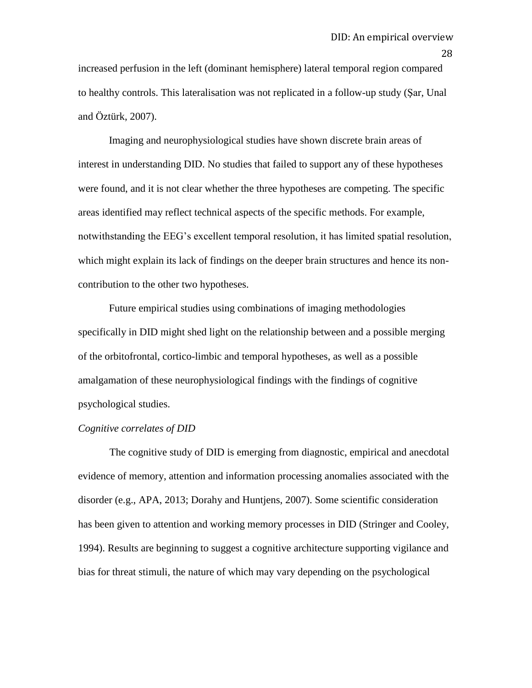increased perfusion in the left (dominant hemisphere) lateral temporal region compared to healthy controls. This lateralisation was not replicated in a follow-up study (Şar, Unal and Öztürk, 2007).

Imaging and neurophysiological studies have shown discrete brain areas of interest in understanding DID. No studies that failed to support any of these hypotheses were found, and it is not clear whether the three hypotheses are competing. The specific areas identified may reflect technical aspects of the specific methods. For example, notwithstanding the EEG"s excellent temporal resolution, it has limited spatial resolution, which might explain its lack of findings on the deeper brain structures and hence its noncontribution to the other two hypotheses.

Future empirical studies using combinations of imaging methodologies specifically in DID might shed light on the relationship between and a possible merging of the orbitofrontal, cortico-limbic and temporal hypotheses, as well as a possible amalgamation of these neurophysiological findings with the findings of cognitive psychological studies.

#### *Cognitive correlates of DID*

The cognitive study of DID is emerging from diagnostic, empirical and anecdotal evidence of memory, attention and information processing anomalies associated with the disorder (e.g., APA, 2013; Dorahy and Huntjens, 2007). Some scientific consideration has been given to attention and working memory processes in DID (Stringer and Cooley, 1994). Results are beginning to suggest a cognitive architecture supporting vigilance and bias for threat stimuli, the nature of which may vary depending on the psychological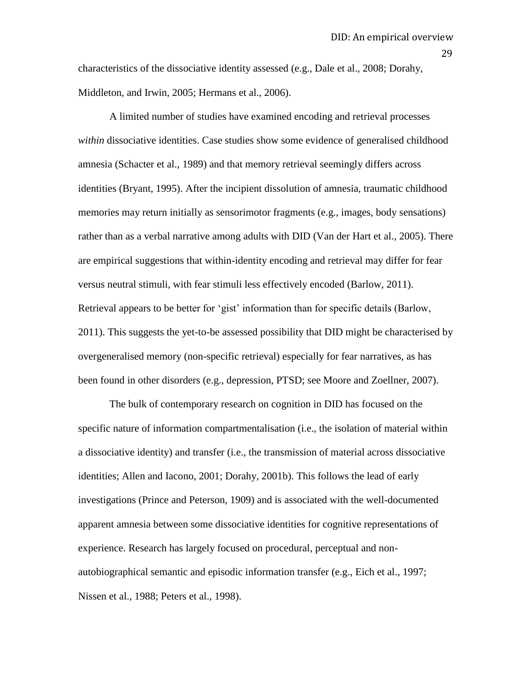characteristics of the dissociative identity assessed (e.g., Dale et al., 2008; Dorahy, Middleton, and Irwin, 2005; Hermans et al., 2006).

A limited number of studies have examined encoding and retrieval processes *within* dissociative identities. Case studies show some evidence of generalised childhood amnesia (Schacter et al., 1989) and that memory retrieval seemingly differs across identities (Bryant, 1995). After the incipient dissolution of amnesia, traumatic childhood memories may return initially as sensorimotor fragments (e.g., images, body sensations) rather than as a verbal narrative among adults with DID (Van der Hart et al., 2005). There are empirical suggestions that within-identity encoding and retrieval may differ for fear versus neutral stimuli, with fear stimuli less effectively encoded (Barlow, 2011). Retrieval appears to be better for 'gist' information than for specific details (Barlow, 2011). This suggests the yet-to-be assessed possibility that DID might be characterised by overgeneralised memory (non-specific retrieval) especially for fear narratives, as has been found in other disorders (e.g., depression, PTSD; see Moore and Zoellner, 2007).

The bulk of contemporary research on cognition in DID has focused on the specific nature of information compartmentalisation (i.e., the isolation of material within a dissociative identity) and transfer (i.e., the transmission of material across dissociative identities; Allen and Iacono, 2001; Dorahy, 2001b). This follows the lead of early investigations (Prince and Peterson, 1909) and is associated with the well-documented apparent amnesia between some dissociative identities for cognitive representations of experience. Research has largely focused on procedural, perceptual and nonautobiographical semantic and episodic information transfer (e.g., Eich et al., 1997; Nissen et al., 1988; Peters et al., 1998).

29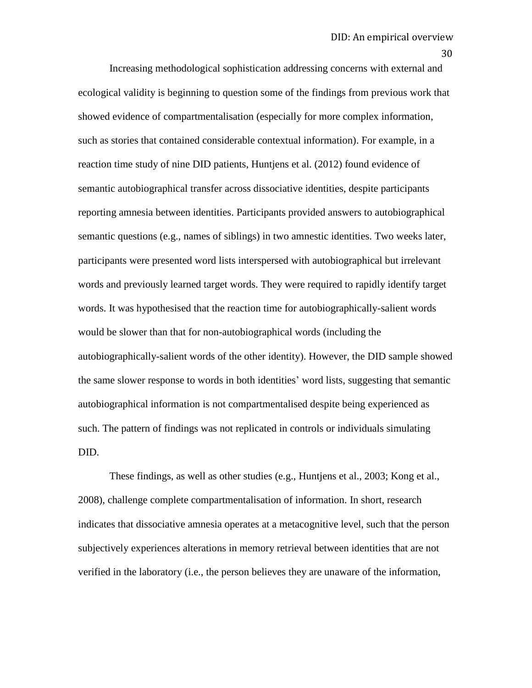Increasing methodological sophistication addressing concerns with external and ecological validity is beginning to question some of the findings from previous work that showed evidence of compartmentalisation (especially for more complex information, such as stories that contained considerable contextual information). For example, in a reaction time study of nine DID patients, Huntjens et al. (2012) found evidence of semantic autobiographical transfer across dissociative identities, despite participants reporting amnesia between identities. Participants provided answers to autobiographical semantic questions (e.g., names of siblings) in two amnestic identities. Two weeks later, participants were presented word lists interspersed with autobiographical but irrelevant words and previously learned target words. They were required to rapidly identify target words. It was hypothesised that the reaction time for autobiographically-salient words would be slower than that for non-autobiographical words (including the autobiographically-salient words of the other identity). However, the DID sample showed the same slower response to words in both identities" word lists, suggesting that semantic autobiographical information is not compartmentalised despite being experienced as such. The pattern of findings was not replicated in controls or individuals simulating DID.

These findings, as well as other studies (e.g., Huntjens et al., 2003; Kong et al., 2008), challenge complete compartmentalisation of information. In short, research indicates that dissociative amnesia operates at a metacognitive level, such that the person subjectively experiences alterations in memory retrieval between identities that are not verified in the laboratory (i.e., the person believes they are unaware of the information,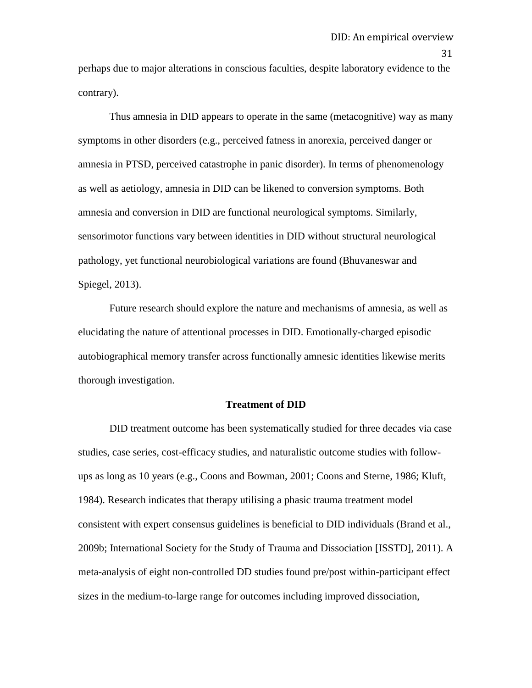perhaps due to major alterations in conscious faculties, despite laboratory evidence to the contrary).

Thus amnesia in DID appears to operate in the same (metacognitive) way as many symptoms in other disorders (e.g., perceived fatness in anorexia, perceived danger or amnesia in PTSD, perceived catastrophe in panic disorder). In terms of phenomenology as well as aetiology, amnesia in DID can be likened to conversion symptoms. Both amnesia and conversion in DID are functional neurological symptoms. Similarly, sensorimotor functions vary between identities in DID without structural neurological pathology, yet functional neurobiological variations are found (Bhuvaneswar and Spiegel, 2013).

Future research should explore the nature and mechanisms of amnesia, as well as elucidating the nature of attentional processes in DID. Emotionally-charged episodic autobiographical memory transfer across functionally amnesic identities likewise merits thorough investigation.

#### **Treatment of DID**

DID treatment outcome has been systematically studied for three decades via case studies, case series, cost-efficacy studies, and naturalistic outcome studies with followups as long as 10 years (e.g., Coons and Bowman, 2001; Coons and Sterne, 1986; Kluft, 1984). Research indicates that therapy utilising a phasic trauma treatment model consistent with expert consensus guidelines is beneficial to DID individuals (Brand et al., 2009b; International Society for the Study of Trauma and Dissociation [ISSTD], 2011). A meta-analysis of eight non-controlled DD studies found pre/post within-participant effect sizes in the medium-to-large range for outcomes including improved dissociation,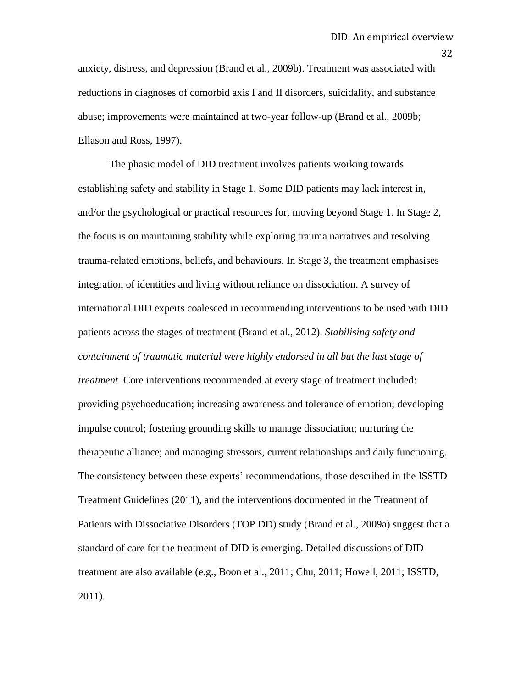anxiety, distress, and depression (Brand et al., 2009b). Treatment was associated with reductions in diagnoses of comorbid axis I and II disorders, suicidality, and substance abuse; improvements were maintained at two-year follow-up (Brand et al., 2009b; Ellason and Ross, 1997).

The phasic model of DID treatment involves patients working towards establishing safety and stability in Stage 1. Some DID patients may lack interest in, and/or the psychological or practical resources for, moving beyond Stage 1. In Stage 2, the focus is on maintaining stability while exploring trauma narratives and resolving trauma-related emotions, beliefs, and behaviours. In Stage 3, the treatment emphasises integration of identities and living without reliance on dissociation. A survey of international DID experts coalesced in recommending interventions to be used with DID patients across the stages of treatment (Brand et al., 2012). *Stabilising safety and containment of traumatic material were highly endorsed in all but the last stage of treatment.* Core interventions recommended at every stage of treatment included: providing psychoeducation; increasing awareness and tolerance of emotion; developing impulse control; fostering grounding skills to manage dissociation; nurturing the therapeutic alliance; and managing stressors, current relationships and daily functioning. The consistency between these experts" recommendations, those described in the ISSTD Treatment Guidelines (2011), and the interventions documented in the Treatment of Patients with Dissociative Disorders (TOP DD) study (Brand et al., 2009a) suggest that a standard of care for the treatment of DID is emerging. Detailed discussions of DID treatment are also available (e.g., Boon et al., 2011; Chu, 2011; Howell, 2011; ISSTD, 2011).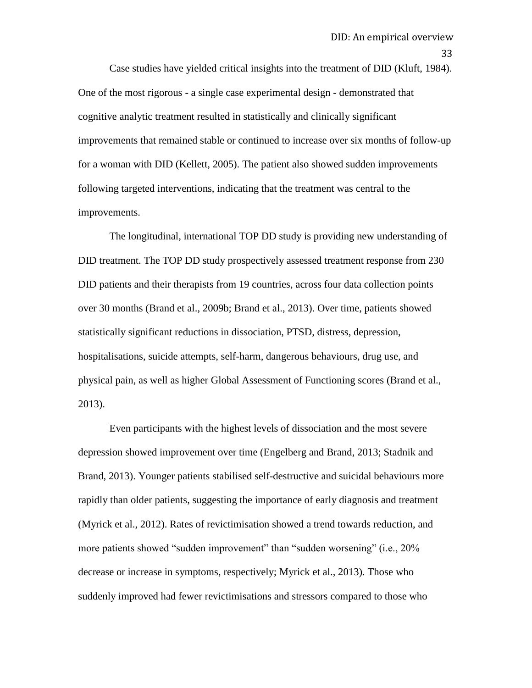Case studies have yielded critical insights into the treatment of DID (Kluft, 1984). One of the most rigorous - a single case experimental design - demonstrated that cognitive analytic treatment resulted in statistically and clinically significant improvements that remained stable or continued to increase over six months of follow-up for a woman with DID (Kellett, 2005). The patient also showed sudden improvements following targeted interventions, indicating that the treatment was central to the improvements.

The longitudinal, international TOP DD study is providing new understanding of DID treatment. The TOP DD study prospectively assessed treatment response from 230 DID patients and their therapists from 19 countries, across four data collection points over 30 months (Brand et al., 2009b; Brand et al., 2013). Over time, patients showed statistically significant reductions in dissociation, PTSD, distress, depression, hospitalisations, suicide attempts, self-harm, dangerous behaviours, drug use, and physical pain, as well as higher Global Assessment of Functioning scores (Brand et al., 2013).

Even participants with the highest levels of dissociation and the most severe depression showed improvement over time (Engelberg and Brand, 2013; Stadnik and Brand, 2013). Younger patients stabilised self-destructive and suicidal behaviours more rapidly than older patients, suggesting the importance of early diagnosis and treatment (Myrick et al., 2012). Rates of revictimisation showed a trend towards reduction, and more patients showed "sudden improvement" than "sudden worsening" (i.e., 20% decrease or increase in symptoms, respectively; Myrick et al., 2013). Those who suddenly improved had fewer revictimisations and stressors compared to those who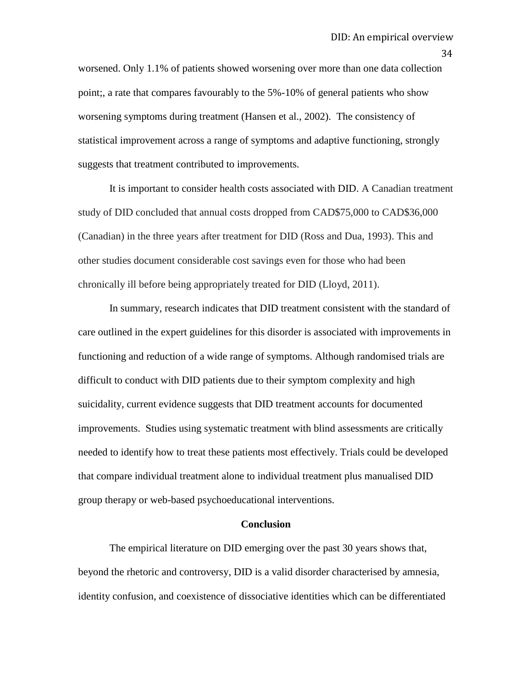worsened. Only 1.1% of patients showed worsening over more than one data collection point;, a rate that compares favourably to the 5%-10% of general patients who show worsening symptoms during treatment (Hansen et al., 2002). The consistency of statistical improvement across a range of symptoms and adaptive functioning, strongly suggests that treatment contributed to improvements.

It is important to consider health costs associated with DID. A Canadian treatment study of DID concluded that annual costs dropped from CAD\$75,000 to CAD\$36,000 (Canadian) in the three years after treatment for DID (Ross and Dua, 1993). This and other studies document considerable cost savings even for those who had been chronically ill before being appropriately treated for DID (Lloyd, 2011).

In summary, research indicates that DID treatment consistent with the standard of care outlined in the expert guidelines for this disorder is associated with improvements in functioning and reduction of a wide range of symptoms. Although randomised trials are difficult to conduct with DID patients due to their symptom complexity and high suicidality, current evidence suggests that DID treatment accounts for documented improvements. Studies using systematic treatment with blind assessments are critically needed to identify how to treat these patients most effectively. Trials could be developed that compare individual treatment alone to individual treatment plus manualised DID group therapy or web-based psychoeducational interventions.

#### **Conclusion**

The empirical literature on DID emerging over the past 30 years shows that, beyond the rhetoric and controversy, DID is a valid disorder characterised by amnesia, identity confusion, and coexistence of dissociative identities which can be differentiated

34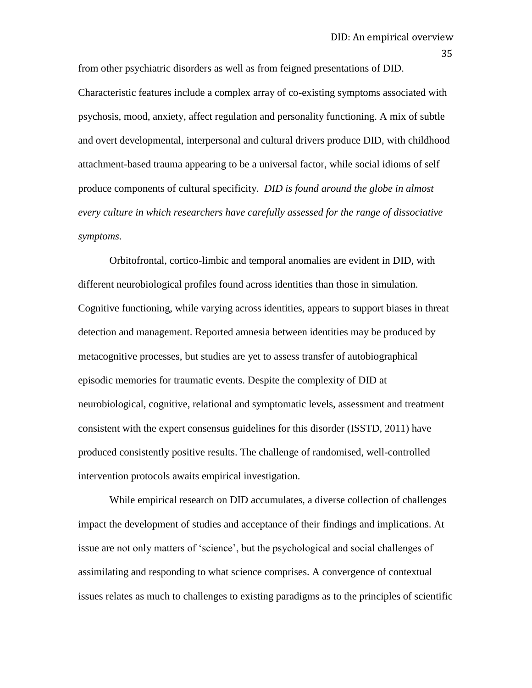from other psychiatric disorders as well as from feigned presentations of DID. Characteristic features include a complex array of co-existing symptoms associated with psychosis, mood, anxiety, affect regulation and personality functioning. A mix of subtle and overt developmental, interpersonal and cultural drivers produce DID, with childhood attachment-based trauma appearing to be a universal factor, while social idioms of self produce components of cultural specificity. *DID is found around the globe in almost every culture in which researchers have carefully assessed for the range of dissociative symptoms.*

Orbitofrontal, cortico-limbic and temporal anomalies are evident in DID, with different neurobiological profiles found across identities than those in simulation. Cognitive functioning, while varying across identities, appears to support biases in threat detection and management. Reported amnesia between identities may be produced by metacognitive processes, but studies are yet to assess transfer of autobiographical episodic memories for traumatic events. Despite the complexity of DID at neurobiological, cognitive, relational and symptomatic levels, assessment and treatment consistent with the expert consensus guidelines for this disorder (ISSTD, 2011) have produced consistently positive results. The challenge of randomised, well-controlled intervention protocols awaits empirical investigation.

While empirical research on DID accumulates, a diverse collection of challenges impact the development of studies and acceptance of their findings and implications. At issue are not only matters of "science", but the psychological and social challenges of assimilating and responding to what science comprises. A convergence of contextual issues relates as much to challenges to existing paradigms as to the principles of scientific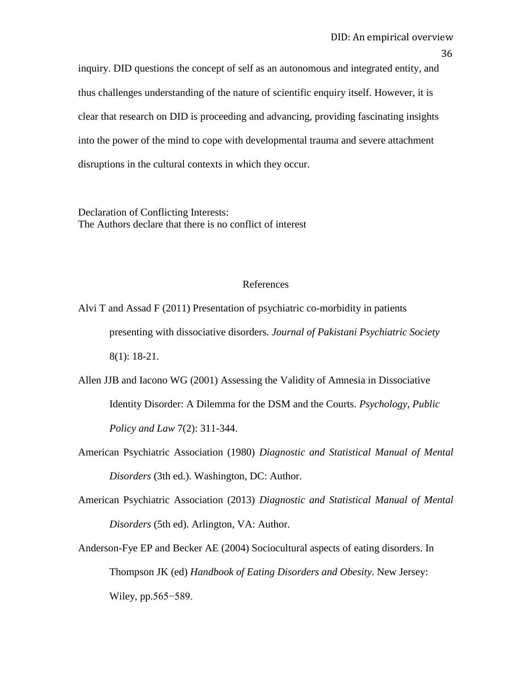inquiry. DID questions the concept of self as an autonomous and integrated entity, and thus challenges understanding of the nature of scientific enquiry itself. However, it is clear that research on DID is proceeding and advancing, providing fascinating insights into the power of the mind to cope with developmental trauma and severe attachment disruptions in the cultural contexts in which they occur.

Declaration of Conflicting Interests: The Authors declare that there is no conflict of interest

# References

Alvi T and Assad F (2011) Presentation of psychiatric co-morbidity in patients presenting with dissociative disorders. *Journal of Pakistani Psychiatric Society*  8(1): 18-21.

Allen JJB and Iacono WG (2001) Assessing the Validity of Amnesia in Dissociative Identity Disorder: A Dilemma for the DSM and the Courts. *Psychology, Public Policy and Law* 7(2): 311-344.

- American Psychiatric Association (1980) *Diagnostic and Statistical Manual of Mental Disorders* (3th ed.). Washington, DC: Author.
- American Psychiatric Association (2013) *Diagnostic and Statistical Manual of Mental Disorders* (5th ed). Arlington, VA: Author.
- Anderson-Fye EP and Becker AE (2004) Sociocultural aspects of eating disorders. In Thompson JK (ed) *Handbook of Eating Disorders and Obesity*. New Jersey: Wiley, pp.565−589.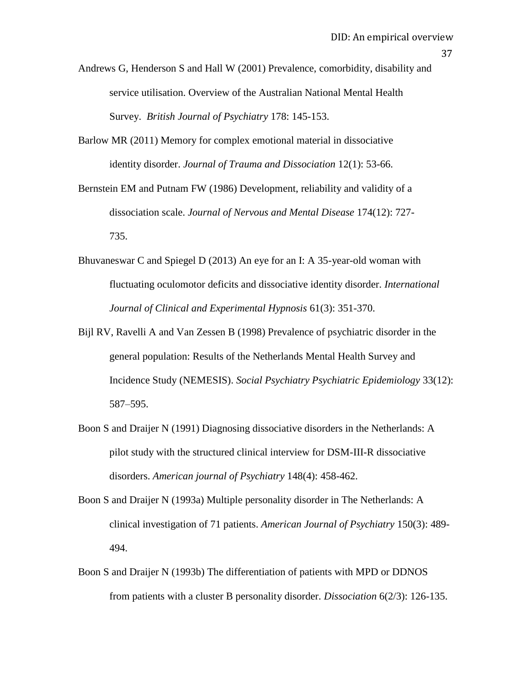Andrews G, Henderson S and Hall W (2001) Prevalence, comorbidity, disability and service utilisation. Overview of the Australian National Mental Health Survey. *British Journal of Psychiatry* 178: 145-153.

Barlow MR (2011) Memory for complex emotional material in dissociative identity disorder. *Journal of Trauma and Dissociation* 12(1): 53-66.

Bernstein EM and Putnam FW (1986) Development, reliability and validity of a dissociation scale. *Journal of Nervous and Mental Disease* 174(12): 727- 735.

- Bhuvaneswar C and Spiegel D (2013) An eye for an I: A 35-year-old woman with fluctuating oculomotor deficits and dissociative identity disorder. *International Journal of Clinical and Experimental Hypnosis* 61(3): 351-370.
- Bijl RV, Ravelli A and Van Zessen B (1998) Prevalence of psychiatric disorder in the general population: Results of the Netherlands Mental Health Survey and Incidence Study (NEMESIS). *Social Psychiatry Psychiatric Epidemiology* 33(12): 587–595.
- Boon S and Draijer N (1991) Diagnosing dissociative disorders in the Netherlands: A pilot study with the structured clinical interview for DSM-III-R dissociative disorders. *American journal of Psychiatry* 148(4): 458-462.
- Boon S and Draijer N (1993a) Multiple personality disorder in The Netherlands: A clinical investigation of 71 patients. *American Journal of Psychiatry* 150(3): 489- 494.
- Boon S and Draijer N (1993b) The differentiation of patients with MPD or DDNOS from patients with a cluster B personality disorder. *Dissociation* 6(2/3): 126-135.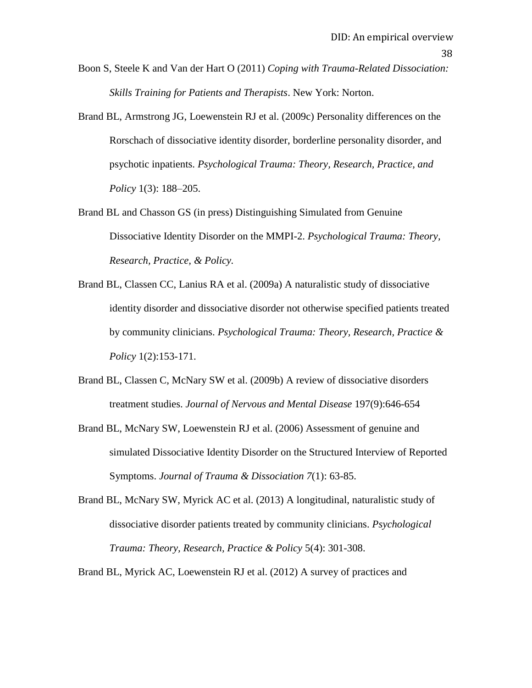- Boon S, Steele K and Van der Hart O (2011) *Coping with Trauma-Related Dissociation: Skills Training for Patients and Therapists*. New York: Norton.
- Brand BL, Armstrong JG, Loewenstein RJ et al. (2009c) Personality differences on the Rorschach of dissociative identity disorder, borderline personality disorder, and psychotic inpatients. *Psychological Trauma: Theory, Research, Practice, and Policy* 1(3): 188–205.
- Brand BL and Chasson GS (in press) Distinguishing Simulated from Genuine Dissociative Identity Disorder on the MMPI-2. *Psychological Trauma: Theory, Research, Practice, & Policy.*
- Brand BL, Classen CC, Lanius RA et al. (2009a) A naturalistic study of dissociative identity disorder and dissociative disorder not otherwise specified patients treated by community clinicians. *Psychological Trauma: Theory, Research, Practice & Policy* 1(2):153-171.
- Brand BL, Classen C, McNary SW et al. (2009b) A review of dissociative disorders treatment studies. *Journal of Nervous and Mental Disease* 197(9):646-654
- Brand BL, McNary SW, Loewenstein RJ et al. (2006) Assessment of genuine and simulated Dissociative Identity Disorder on the Structured Interview of Reported Symptoms. *Journal of Trauma & Dissociation 7*(1): 63-85.
- Brand BL, McNary SW, Myrick AC et al. (2013) A longitudinal, naturalistic study of dissociative disorder patients treated by community clinicians. *Psychological Trauma: Theory, Research, Practice & Policy* 5(4): 301-308.

Brand BL, Myrick AC, Loewenstein RJ et al. (2012) A survey of practices and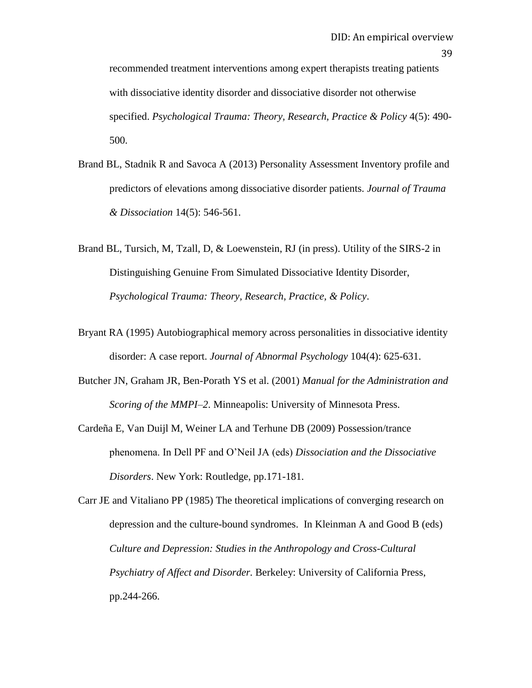recommended treatment interventions among expert therapists treating patients with dissociative identity disorder and dissociative disorder not otherwise specified. *Psychological Trauma: Theory, Research, Practice & Policy* 4(5): 490- 500.

- Brand BL, Stadnik R and Savoca A (2013) Personality Assessment Inventory profile and predictors of elevations among dissociative disorder patients. *Journal of Trauma & Dissociation* 14(5): 546-561.
- Brand BL, Tursich, M, Tzall, D, & Loewenstein, RJ (in press). Utility of the SIRS-2 in Distinguishing Genuine From Simulated Dissociative Identity Disorder, *Psychological Trauma: Theory, Research, Practice, & Policy*.
- Bryant RA (1995) Autobiographical memory across personalities in dissociative identity disorder: A case report. *Journal of Abnormal Psychology* 104(4): 625-631.
- Butcher JN, Graham JR, Ben-Porath YS et al. (2001) *Manual for the Administration and Scoring of the MMPI–2*. Minneapolis: University of Minnesota Press.
- Cardeña E, Van Duijl M, Weiner LA and Terhune DB (2009) Possession/trance phenomena. In Dell PF and O"Neil JA (eds) *Dissociation and the Dissociative Disorders*. New York: Routledge, pp.171-181.

Carr JE and Vitaliano PP (1985) The theoretical implications of converging research on depression and the culture-bound syndromes. In Kleinman A and Good B (eds) *Culture and Depression: Studies in the Anthropology and Cross-Cultural Psychiatry of Affect and Disorder.* Berkeley: University of California Press, pp.244-266.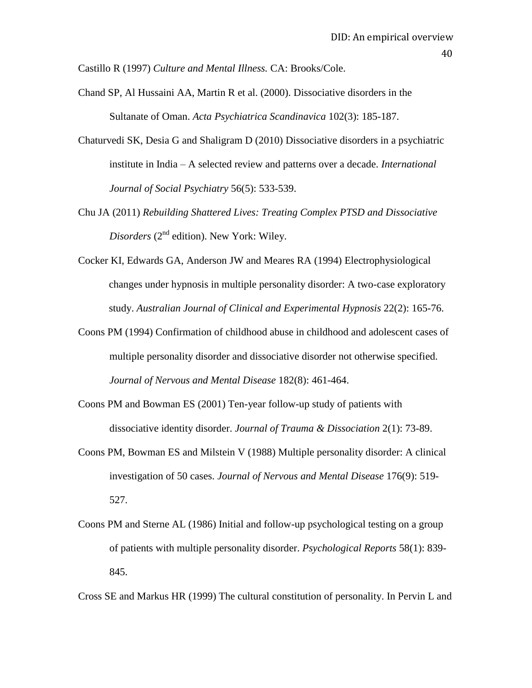Castillo R (1997) *Culture and Mental Illness.* CA: Brooks/Cole.

- Chand SP, Al Hussaini AA, Martin R et al. (2000). Dissociative disorders in the Sultanate of Oman. *Acta Psychiatrica Scandinavica* 102(3): 185-187.
- Chaturvedi SK, Desia G and Shaligram D (2010) Dissociative disorders in a psychiatric institute in India – A selected review and patterns over a decade. *International Journal of Social Psychiatry* 56(5): 533-539.
- Chu JA (2011) *Rebuilding Shattered Lives: Treating Complex PTSD and Dissociative Disorders* (2<sup>nd</sup> edition). New York: Wiley.
- Cocker KI, Edwards GA, Anderson JW and Meares RA (1994) Electrophysiological changes under hypnosis in multiple personality disorder: A two-case exploratory study. *Australian Journal of Clinical and Experimental Hypnosis* 22(2): 165-76.
- Coons PM (1994) Confirmation of childhood abuse in childhood and adolescent cases of multiple personality disorder and dissociative disorder not otherwise specified. *Journal of Nervous and Mental Disease* 182(8): 461-464.
- Coons PM and Bowman ES (2001) Ten-year follow-up study of patients with dissociative identity disorder. *Journal of Trauma & Dissociation* 2(1): 73-89.
- Coons PM, Bowman ES and Milstein V (1988) Multiple personality disorder: A clinical investigation of 50 cases. *[Journal of Nervous and Mental Disease](javascript:__doLinkPostBack()* 176(9): 519- 527.
- Coons PM and Sterne AL (1986) Initial and follow-up psychological testing on a group of patients with multiple personality disorder. *Psychological Reports* 58(1): 839- 845.

Cross SE and Markus HR (1999) The cultural constitution of personality. In Pervin L and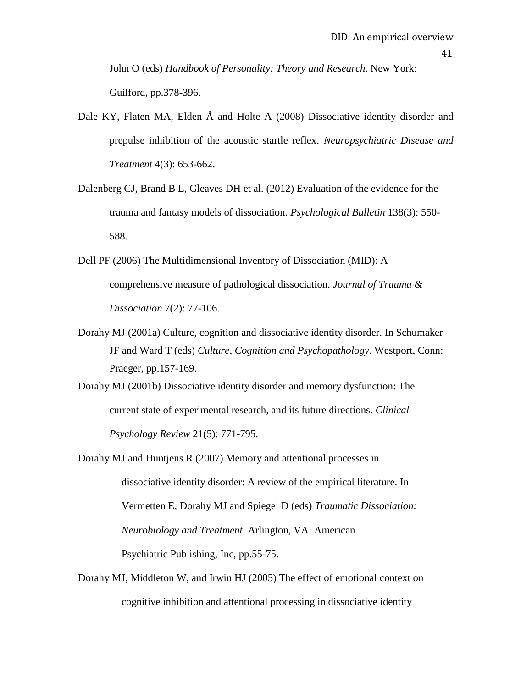John O (eds) *Handbook of Personality: Theory and Research*. New York: Guilford, pp.378-396.

- Dale KY, Flaten MA, Elden Å and Holte A (2008) [Dissociative identity disorder and](http://web.ebscohost.com.ezproxy.canterbury.ac.nz/ehost/viewarticle?data=dGJyMPPp44rp2%2fdV0%2bnjisfk5Ie46a9JtKuwT7Sk63nn5Kx95uXxjL6rrUq1pbBIr6meS7iorlKyrZ5oy5zyit%2fk8Xnh6ueH7N%2fiVauutU6vqbJIs66khN%2fk5VXj5KR84LPui%2ffepIzf3btZzJzfhruorki2o65Rt6mvRa6ntD7k5fCF3%2bq7fvPi6ozj7vIA&hid=128)  [prepulse inhibition of the acoustic startle reflex.](http://web.ebscohost.com.ezproxy.canterbury.ac.nz/ehost/viewarticle?data=dGJyMPPp44rp2%2fdV0%2bnjisfk5Ie46a9JtKuwT7Sk63nn5Kx95uXxjL6rrUq1pbBIr6meS7iorlKyrZ5oy5zyit%2fk8Xnh6ueH7N%2fiVauutU6vqbJIs66khN%2fk5VXj5KR84LPui%2ffepIzf3btZzJzfhruorki2o65Rt6mvRa6ntD7k5fCF3%2bq7fvPi6ozj7vIA&hid=128) *Neuropsychiatric Disease and Treatment* 4(3): 653-662.
- Dalenberg CJ, Brand B L, Gleaves DH et al. (2012) Evaluation of the evidence for the trauma and fantasy models of dissociation. *Psychological Bulletin* 138(3): 550- 588.
- Dell PF (2006) The Multidimensional Inventory of Dissociation (MID): A comprehensive measure of pathological dissociation. *Journal of Trauma & Dissociation* 7(2): 77-106.
- Dorahy MJ (2001a) Culture, cognition and dissociative identity disorder. In Schumaker JF and Ward T (eds) *Culture, Cognition and Psychopathology*. Westport, Conn: Praeger, pp.157-169.

Dorahy MJ (2001b) Dissociative identity disorder and memory dysfunction: The current state of experimental research, and its future directions. *Clinical Psychology Review* 21(5): 771-795.

- Dorahy MJ and Huntjens R (2007) Memory and attentional processes in dissociative identity disorder: A review of the empirical literature. In Vermetten E, Dorahy MJ and Spiegel D (eds) *Traumatic Dissociation: Neurobiology and Treatment*. Arlington, VA: American Psychiatric Publishing, Inc, pp.55-75.
- Dorahy MJ, Middleton W, and Irwin HJ (2005) The effect of emotional context on cognitive inhibition and attentional processing in dissociative identity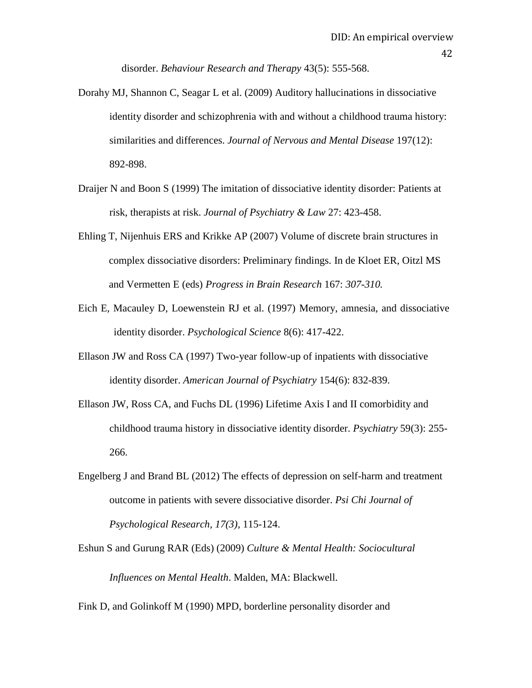disorder. *Behaviour Research and Therapy* 43(5): 555-568.

Dorahy MJ, Shannon C, Seagar L et al. (2009) [Auditory hallucinations in dissociative](http://www.ncbi.nlm.nih.gov/pubmed/20010024)  [identity disorder and schizophrenia with and without a childhood trauma history:](http://www.ncbi.nlm.nih.gov/pubmed/20010024)  [similarities and differences.](http://www.ncbi.nlm.nih.gov/pubmed/20010024) *Journal of Nervous and Mental Disease* 197(12): 892-898.

- Draijer N and Boon S (1999) The imitation of dissociative identity disorder: Patients at risk, therapists at risk. *Journal of Psychiatry & Law* 27: 423-458.
- Ehling T, Nijenhuis ERS and Krikke AP (2007) Volume of discrete brain structures in complex dissociative disorders: Preliminary findings. In de Kloet ER, Oitzl MS and Vermetten E (eds) *Progress in Brain Research* 167: *307-310.*
- Eich E, Macauley D, Loewenstein RJ et al. (1997) Memory, amnesia, and dissociative identity disorder. *Psychological Science* 8(6): 417-422.
- Ellason JW and Ross CA (1997) Two-year follow-up of inpatients with dissociative identity disorder. *American Journal of Psychiatry* 154(6): 832-839.
- Ellason JW, Ross CA, and Fuchs DL (1996) Lifetime Axis I and II comorbidity and childhood trauma history in dissociative identity disorder. *Psychiatry* 59(3): 255- 266.
- Engelberg J and Brand BL (2012) The effects of depression on self-harm and treatment outcome in patients with severe dissociative disorder. *Psi Chi Journal of Psychological Research, 17(3),* 115-124.
- Eshun S and Gurung RAR (Eds) (2009) *Culture & Mental Health: Sociocultural Influences on Mental Health*. Malden, MA: Blackwell.

Fink D, and Golinkoff M (1990) MPD, borderline personality disorder and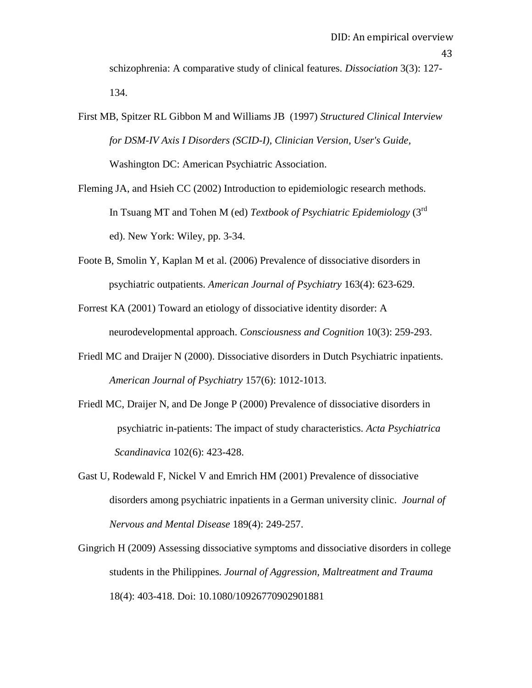schizophrenia: A comparative study of clinical features. *Dissociation* 3(3): 127- 134.

First MB, Spitzer RL Gibbon M and Williams JB (1997) *Structured Clinical Interview for DSM-IV Axis I Disorders (SCID-I), Clinician Version, User's Guide,* Washington DC: American Psychiatric Association.

- Fleming JA, and Hsieh CC (2002) Introduction to epidemiologic research methods. In Tsuang MT and Tohen M (ed) *Textbook of Psychiatric Epidemiology* (3rd ed). New York: Wiley, pp. 3-34.
- Foote B, Smolin Y, Kaplan M et al. (2006) Prevalence of dissociative disorders in psychiatric outpatients. *American Journal of Psychiatry* 163(4): 623-629.
- Forrest KA (2001) Toward an etiology of dissociative identity disorder: A neurodevelopmental approach. *Consciousness and Cognition* 10(3): 259-293.
- Friedl MC and Draijer N (2000). Dissociative disorders in Dutch Psychiatric inpatients. *American Journal of Psychiatry* 157(6): 1012-1013.
- Friedl MC, Draijer N, and De Jonge P (2000) Prevalence of dissociative disorders in psychiatric in-patients: The impact of study characteristics. *Acta Psychiatrica Scandinavica* 102(6): 423-428.
- Gast U, Rodewald F, Nickel V and Emrich HM (2001) Prevalence of dissociative disorders among psychiatric inpatients in a German university clinic. *Journal of Nervous and Mental Disease* 189(4): 249-257.
- Gingrich H (2009) Assessing dissociative symptoms and dissociative disorders in college students in the Philippines*. Journal of Aggression, Maltreatment and Trauma* 18(4): 403-418. Doi: 10.1080/10926770902901881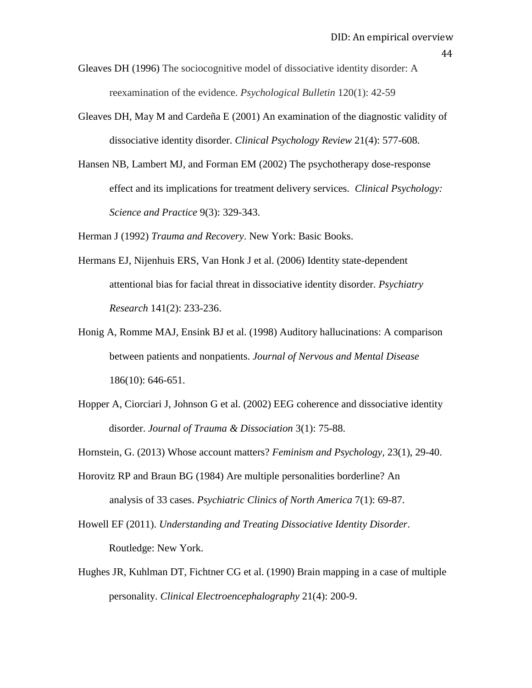Gleaves DH (1996) The sociocognitive model of dissociative identity disorder: A reexamination of the evidence. *Psychological Bulletin* 120(1): 42-59

- Gleaves DH, May M and Cardeña E (2001) An examination of the diagnostic validity of dissociative identity disorder. *Clinical Psychology Review* 21(4): 577-608.
- Hansen NB, Lambert MJ, and Forman EM (2002) The psychotherapy dose-response effect and its implications for treatment delivery services. *Clinical Psychology: Science and Practice* 9(3): 329-343.

Herman J (1992) *Trauma and Recovery*. New York: Basic Books.

- Hermans EJ, Nijenhuis ERS, Van Honk J et al. (2006) Identity state-dependent attentional bias for facial threat in dissociative identity disorder. *Psychiatry Research* 141(2): 233-236.
- Honig A, Romme MAJ, Ensink BJ et al. (1998) Auditory hallucinations: A comparison between patients and nonpatients. *Journal of Nervous and Mental Disease*  186(10): 646-651.
- Hopper A, Ciorciari J, Johnson G et al. (2002) EEG coherence and dissociative identity disorder. *Journal of Trauma & Dissociation* 3(1): 75-88.

Hornstein, G. (2013) Whose account matters? *Feminism and Psychology,* 23(1), 29-40.

- Horovitz RP and Braun BG (1984) Are multiple personalities borderline? An analysis of 33 cases. *Psychiatric Clinics of North America* 7(1): 69-87.
- Howell EF (2011). *Understanding and Treating Dissociative Identity Disorder*. Routledge: New York.
- Hughes JR, Kuhlman DT, Fichtner CG et al. (1990) Brain mapping in a case of multiple personality. *Clinical Electroencephalography* 21(4): 200-9.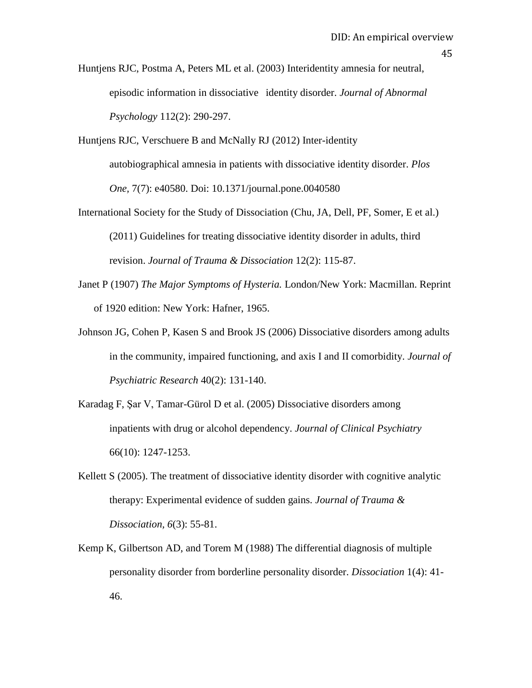Huntjens RJC, Postma A, Peters ML et al. (2003) Interidentity amnesia for neutral, episodic information in dissociative identity disorder. *Journal of Abnormal Psychology* 112(2): 290-297.

- Huntjens RJC, Verschuere B and McNally RJ (2012) Inter-identity autobiographical amnesia in patients with dissociative identity disorder. *Plos One,* 7(7): e40580. Doi: 10.1371/journal.pone.0040580
- International Society for the Study of Dissociation (Chu, JA, Dell, PF, Somer, E et al.) (2011) Guidelines for treating dissociative identity disorder in adults, third revision. *Journal of Trauma & Dissociation* 12(2): 115-87.
- Janet P (1907) *The Major Symptoms of Hysteria.* London/New York: Macmillan. Reprint of 1920 edition: New York: Hafner, 1965.
- Johnson JG, Cohen P, Kasen S and Brook JS (2006) Dissociative disorders among adults in the community, impaired functioning, and axis I and II comorbidity. *Journal of Psychiatric Research* 40(2): 131-140.
- Karadag F, Şar V, Tamar-Gürol D et al. (2005) Dissociative disorders among inpatients with drug or alcohol dependency. *Journal of Clinical Psychiatry*  66(10): 1247-1253.
- Kellett S (2005). The treatment of dissociative identity disorder with cognitive analytic therapy: Experimental evidence of sudden gains. *Journal of Trauma & Dissociation, 6*(3): 55-81.
- Kemp K, Gilbertson AD, and Torem M (1988) The differential diagnosis of multiple personality disorder from borderline personality disorder. *Dissociation* 1(4): 41- 46.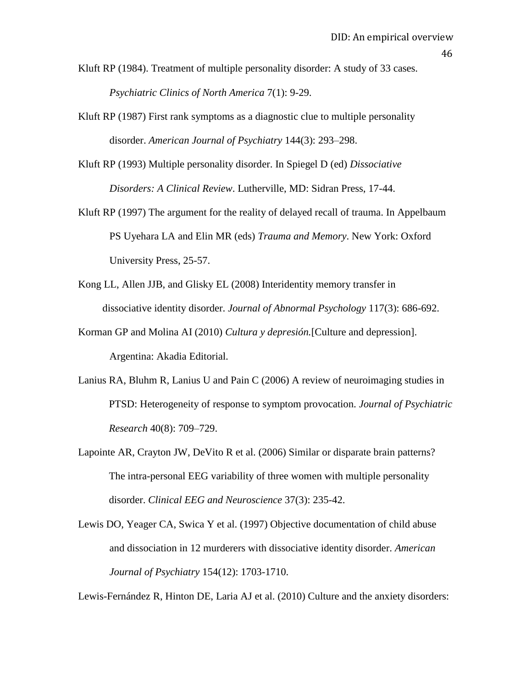- 46
- Kluft RP (1984). Treatment of multiple personality disorder: A study of 33 cases. *Psychiatric Clinics of North America* 7(1): 9-29.
- Kluft RP (1987) First rank symptoms as a diagnostic clue to multiple personality disorder. *American Journal of Psychiatry* 144(3): 293–298.
- Kluft RP (1993) Multiple personality disorder. In Spiegel D (ed) *Dissociative Disorders: A Clinical Review*. Lutherville, MD: Sidran Press, 17-44.
- Kluft RP (1997) The argument for the reality of delayed recall of trauma. In Appelbaum PS Uyehara LA and Elin MR (eds) *Trauma and Memory*. New York: Oxford University Press, 25-57.
- Kong LL, Allen JJB, and Glisky EL (2008) Interidentity memory transfer in dissociative identity disorder. *Journal of Abnormal Psychology* 117(3): 686-692.
- Korman GP and Molina AI (2010) *Cultura y depresión.*[Culture and depression]. Argentina: Akadia Editorial.
- Lanius RA, Bluhm R, Lanius U and Pain C (2006) A review of neuroimaging studies in PTSD: Heterogeneity of response to symptom provocation. *Journal of Psychiatric Research* 40(8): 709–729.
- Lapointe AR, Crayton JW, DeVito R et al. (2006) Similar or disparate brain patterns? The intra-personal EEG variability of three women with multiple personality disorder. *Clinical EEG and Neuroscience* 37(3): 235-42.
- Lewis DO, Yeager CA, Swica Y et al. (1997) Objective documentation of child abuse and dissociation in 12 murderers with dissociative identity disorder. *American Journal of Psychiatry* 154(12): 1703-1710.

Lewis-Fernández R, Hinton DE, Laria AJ et al. (2010) Culture and the anxiety disorders: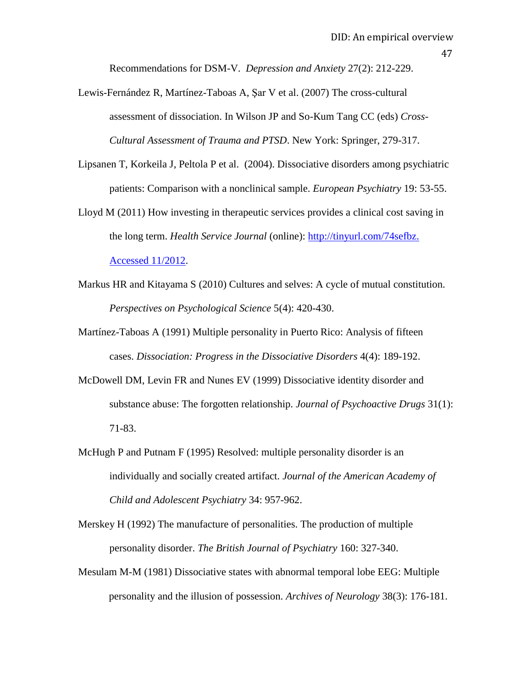Recommendations for DSM-V. *Depression and Anxiety* 27(2): 212-229.

- Lewis-Fernández R, Martínez-Taboas A, Şar V et al. (2007) The cross-cultural assessment of dissociation. In Wilson JP and So-Kum Tang CC (eds) *Cross-Cultural Assessment of Trauma and PTSD*. New York: Springer, 279-317.
- Lipsanen T, Korkeila J, Peltola P et al. (2004). Dissociative disorders among psychiatric patients: Comparison with a nonclinical sample. *European Psychiatry* 19: 53-55.
- Lloyd M (2011) How investing in therapeutic services provides a clinical cost saving in the long term. *Health Service Journal* (online): [http://tinyurl.com/74sefbz.](http://tinyurl.com/74sefbz.%20Accessed%2011/2012)  [Accessed 11/2012.](http://tinyurl.com/74sefbz.%20Accessed%2011/2012)
- Markus HR and Kitayama S (2010) Cultures and selves: A cycle of mutual constitution. *Perspectives on Psychological Science* 5(4): 420-430.
- Martínez-Taboas A (1991) Multiple personality in Puerto Rico: Analysis of fifteen cases. *Dissociation: Progress in the Dissociative Disorders* 4(4): 189-192.
- McDowell DM, Levin FR and Nunes EV (1999) Dissociative identity disorder and substance abuse: The forgotten relationship. *Journal of Psychoactive Drugs* 31(1): 71-83.
- McHugh P and Putnam F (1995) Resolved: multiple personality disorder is an individually and socially created artifact. *Journal of the American Academy of Child and Adolescent Psychiatry* 34: 957-962.
- Merskey H (1992) The manufacture of personalities. The production of multiple personality disorder. *The British Journal of Psychiatry* 160: 327-340.
- Mesulam M-M (1981) Dissociative states with abnormal temporal lobe EEG: Multiple personality and the illusion of possession. *Archives of Neurology* 38(3): 176-181.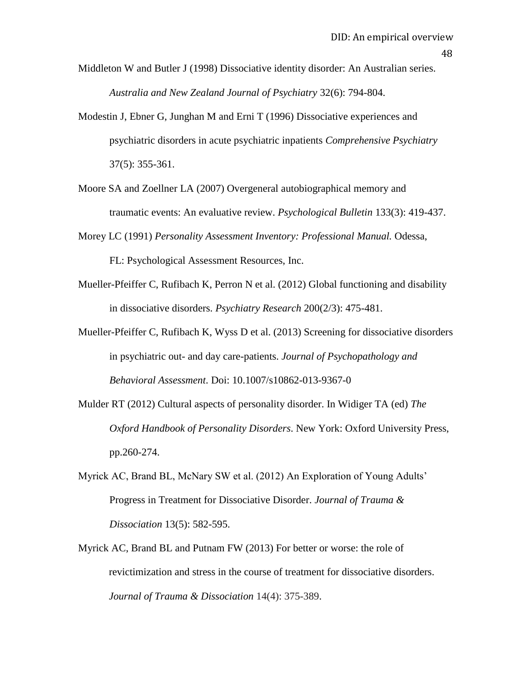Middleton W and Butler J (1998) Dissociative identity disorder: An Australian series. *Australia and New Zealand Journal of Psychiatry* 32(6): 794-804.

- Modestin J, Ebner G, Junghan M and Erni T (1996) Dissociative experiences and psychiatric disorders in acute psychiatric inpatients *Comprehensive Psychiatry*  37(5): 355-361.
- Moore SA and Zoellner LA (2007) Overgeneral autobiographical memory and traumatic events: An evaluative review. *Psychological Bulletin* 133(3): 419-437.
- Morey LC (1991) *Personality Assessment Inventory: Professional Manual.* Odessa, FL: Psychological Assessment Resources, Inc.
- Mueller-Pfeiffer C, Rufibach K, Perron N et al. (2012) Global functioning and disability in dissociative disorders. *Psychiatry Research* 200(2/3): 475-481.
- Mueller-Pfeiffer C, Rufibach K, Wyss D et al. (2013) Screening for dissociative disorders in psychiatric out- and day care-patients. *Journal of Psychopathology and Behavioral Assessment*. Doi: 10.1007/s10862-013-9367-0
- Mulder RT (2012) Cultural aspects of personality disorder. In Widiger TA (ed) *The Oxford Handbook of Personality Disorders*. New York: Oxford University Press, pp.260-274.
- Myrick AC, Brand BL, McNary SW et al. (2012) An Exploration of Young Adults' Progress in Treatment for Dissociative Disorder. *Journal of Trauma & Dissociation* 13(5): 582-595.
- Myrick AC, Brand BL and Putnam FW (2013) For better or worse: the role of revictimization and stress in the course of treatment for dissociative disorders. *Journal of Trauma & Dissociation* 14(4): 375-389.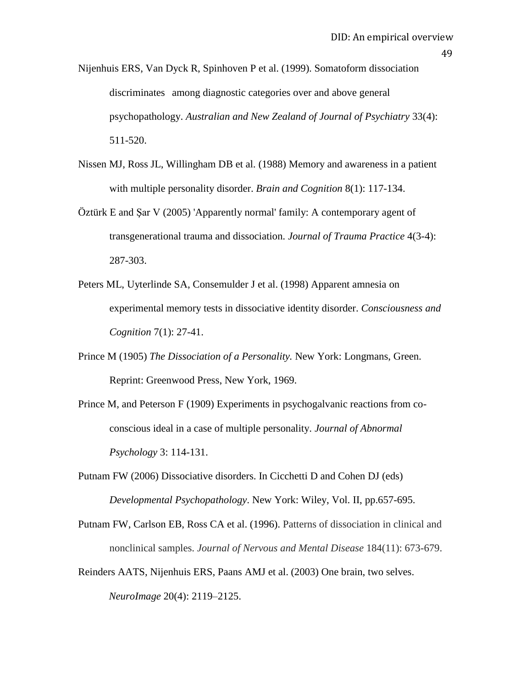Nijenhuis ERS, Van Dyck R, Spinhoven P et al. (1999). Somatoform dissociation discriminates among diagnostic categories over and above general psychopathology. *Australian and New Zealand of Journal of Psychiatry* 33(4): 511-520.

- Nissen MJ, Ross JL, Willingham DB et al. (1988) Memory and awareness in a patient with multiple personality disorder. *Brain and Cognition* 8(1): 117-134.
- Öztürk E and Şar V (2005) 'Apparently normal' family: A contemporary agent of transgenerational trauma and dissociation. *Journal of Trauma Practice* 4(3-4): 287-303.
- Peters ML, Uyterlinde SA, Consemulder J et al. (1998) Apparent amnesia on experimental memory tests in dissociative identity disorder. *Consciousness and Cognition* 7(1): 27-41.
- Prince M (1905) *The Dissociation of a Personality.* New York: Longmans, Green. Reprint: Greenwood Press, New York, 1969.
- Prince M, and Peterson F (1909) Experiments in psychogalvanic reactions from coconscious ideal in a case of multiple personality. *Journal of Abnormal Psychology* 3: 114-131.
- Putnam FW (2006) Dissociative disorders. In Cicchetti D and Cohen DJ (eds) *Developmental Psychopathology*. New York: Wiley, Vol. II, pp.657-695.
- Putnam FW, Carlson EB, Ross CA et al. (1996). Patterns of dissociation in clinical and nonclinical samples. *Journal of Nervous and Mental Disease* 184(11): 673-679.
- Reinders AATS, Nijenhuis ERS, Paans AMJ et al. (2003) One brain, two selves. *NeuroImage* 20(4): 2119–2125.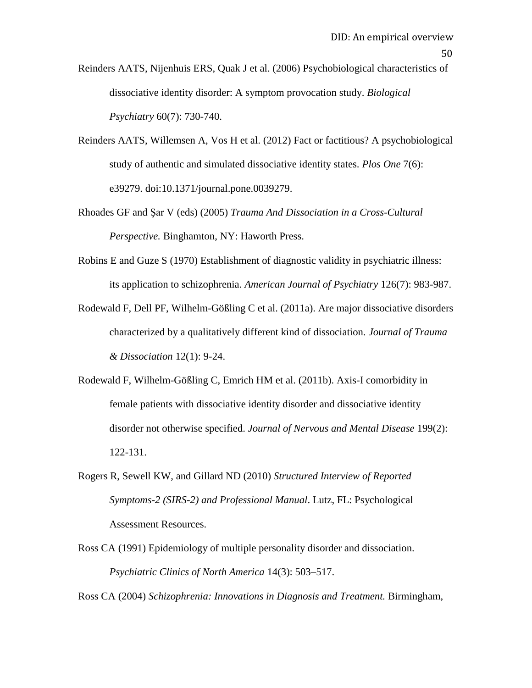Reinders AATS, Nijenhuis ERS, Quak J et al. (2006) Psychobiological characteristics of dissociative identity disorder: A symptom provocation study. *Biological Psychiatry* 60(7): 730-740.

- Reinders AATS, Willemsen A, Vos H et al. (2012) Fact or factitious? A psychobiological study of authentic and simulated dissociative identity states. *Plos One* 7(6): e39279. doi:10.1371/journal.pone.0039279.
- Rhoades GF and Şar V (eds) (2005) *Trauma And Dissociation in a Cross-Cultural Perspective.* Binghamton, NY: Haworth Press.
- Robins E and Guze S (1970) Establishment of diagnostic validity in psychiatric illness: its application to schizophrenia. *American Journal of Psychiatry* 126(7): 983-987.
- Rodewald F, Dell PF, Wilhelm-Gößling C et al. (2011a). Are major dissociative disorders characterized by a qualitatively different kind of dissociation. *Journal of Trauma & Dissociation* 12(1): 9-24.
- Rodewald F, Wilhelm-Gößling C, Emrich HM et al. (2011b). Axis-I comorbidity in female patients with dissociative identity disorder and dissociative identity disorder not otherwise specified. *Journal of Nervous and Mental Disease* 199(2): 122-131.
- Rogers R, Sewell KW, and Gillard ND (2010) *Structured Interview of Reported Symptoms-2 (SIRS-2) and Professional Manual*. Lutz, FL: Psychological Assessment Resources.
- Ross CA (1991) Epidemiology of multiple personality disorder and dissociation. *Psychiatric Clinics of North America* 14(3): 503–517.

Ross CA (2004) *Schizophrenia: Innovations in Diagnosis and Treatment.* Birmingham,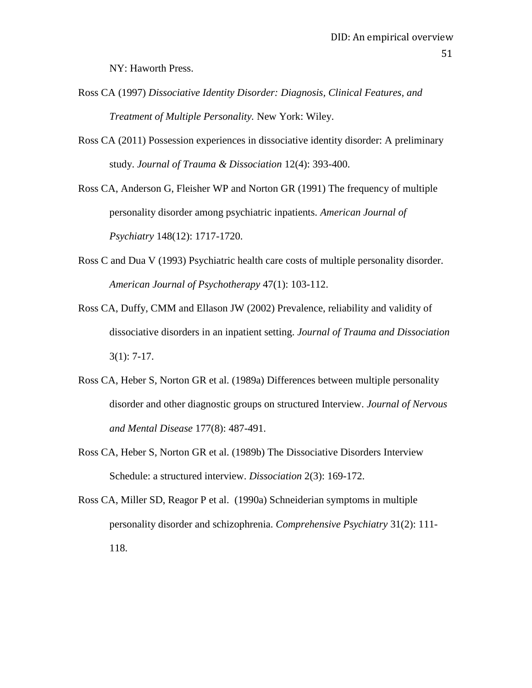NY: Haworth Press.

- Ross CA (1997) *Dissociative Identity Disorder: Diagnosis, Clinical Features, and Treatment of Multiple Personality.* New York: Wiley.
- Ross CA (2011) Possession experiences in dissociative identity disorder: A preliminary study. *Journal of Trauma & Dissociation* 12(4): 393-400.

Ross CA, Anderson G, Fleisher WP and Norton GR (1991) The frequency of multiple personality disorder among psychiatric inpatients. *American Journal of Psychiatry* 148(12): 1717-1720.

- Ross C and Dua V (1993) Psychiatric health care costs of multiple personality disorder. *American Journal of Psychotherapy* 47(1): 103-112.
- Ross CA, Duffy, CMM and Ellason JW (2002) Prevalence, reliability and validity of dissociative disorders in an inpatient setting. *Journal of Trauma and Dissociation* 3(1): 7-17.
- Ross CA, Heber S, Norton GR et al. (1989a) Differences between multiple personality disorder and other diagnostic groups on structured Interview. *Journal of Nervous and Mental Disease* 177(8): 487-491.
- Ross CA, Heber S, Norton GR et al. (1989b) The Dissociative Disorders Interview Schedule: a structured interview. *Dissociation* 2(3): 169-172.
- Ross CA, Miller SD, Reagor P et al. (1990a) Schneiderian symptoms in multiple personality disorder and schizophrenia. *[Comprehensive Psychiatry](javascript:__doLinkPostBack()* 31(2): 111- 118.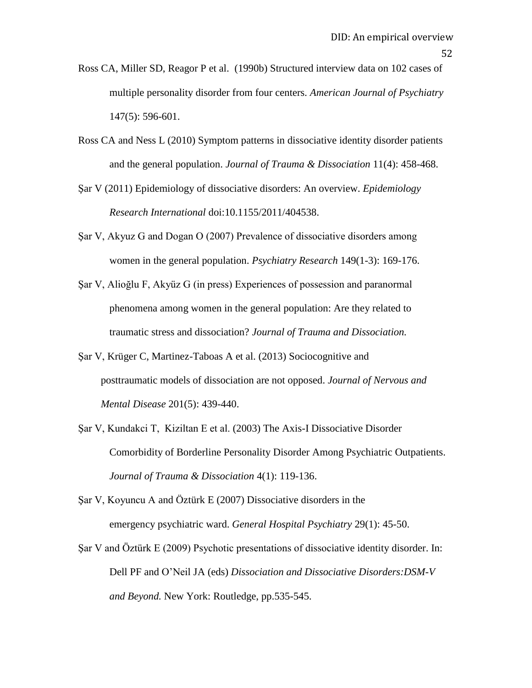- Ross CA, Miller SD, Reagor P et al. (1990b) Structured interview data on 102 cases of multiple personality disorder from four centers. *American Journal of Psychiatry*  147(5): 596-601.
- Ross CA and Ness L (2010) Symptom patterns in dissociative identity disorder patients and the general population. *Journal of Trauma & Dissociation* 11(4): 458-468.
- Şar V (2011) Epidemiology of dissociative disorders: An overview. *Epidemiology Research International* doi:10.1155/2011/404538.
- Şar V, Akyuz G and Dogan O (2007) Prevalence of dissociative disorders among women in the general population. *Psychiatry Research* 149(1-3): 169-176.
- Şar V, Alioğlu F, Akyüz G (in press) Experiences of possession and paranormal phenomena among women in the general population: Are they related to traumatic stress and dissociation? *Journal of Trauma and Dissociation.*
- Şar V, Krüger C, Martinez-Taboas A et al. (2013) Sociocognitive and posttraumatic models of dissociation are not opposed. *Journal of Nervous and Mental Disease* 201(5): 439-440.
- Şar V, Kundakci T, Kiziltan E et al. (2003) The Axis-I Dissociative Disorder Comorbidity of Borderline Personality Disorder Among Psychiatric Outpatients. *Journal of Trauma & Dissociation* 4(1): 119-136.
- Şar V, Koyuncu A and Öztürk E (2007) Dissociative disorders in the emergency psychiatric ward. *General Hospital Psychiatry* 29(1): 45-50.
- Şar V and Öztürk E (2009) Psychotic presentations of dissociative identity disorder. In: Dell PF and O"Neil JA (eds) *Dissociation and Dissociative Disorders:DSM-V and Beyond.* New York: Routledge, pp.535-545.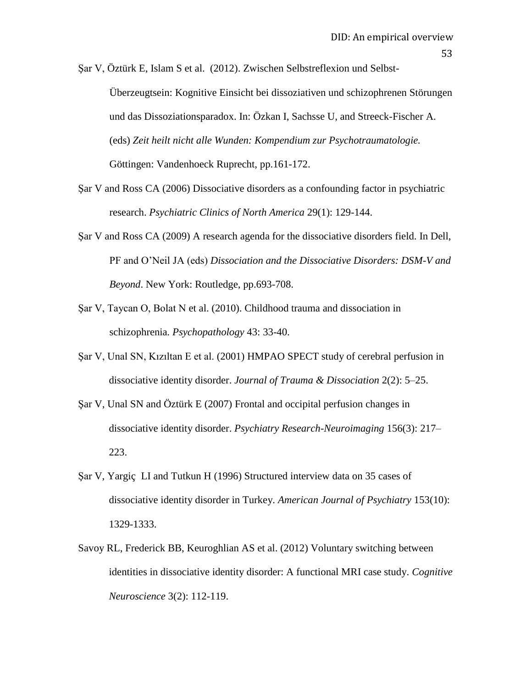Şar V, Öztürk E, Islam S et al. (2012). Zwischen Selbstreflexion und Selbst-

Überzeugtsein: Kognitive Einsicht bei dissoziativen und schizophrenen Störungen und das Dissoziationsparadox. In: Özkan I, Sachsse U, and Streeck-Fischer A. (eds) *Zeit heilt nicht alle Wunden: Kompendium zur Psychotraumatologie.* Göttingen: Vandenhoeck Ruprecht, pp.161-172.

- Şar V and Ross CA (2006) Dissociative disorders as a confounding factor in psychiatric research. *Psychiatric Clinics of North America* 29(1): 129-144.
- Şar V and Ross CA (2009) A research agenda for the dissociative disorders field. In Dell, PF and O"Neil JA (eds) *Dissociation and the Dissociative Disorders: DSM-V and Beyond*. New York: Routledge, pp.693-708.
- Şar V, Taycan O, Bolat N et al. (2010). Childhood trauma and dissociation in schizophrenia*. Psychopathology* 43: 33-40.
- Şar V, Unal SN, Kızıltan E et al. (2001) HMPAO SPECT study of cerebral perfusion in dissociative identity disorder. *Journal of Trauma & Dissociation* 2(2): 5–25.
- Şar V, Unal SN and Öztürk E (2007) Frontal and occipital perfusion changes in dissociative identity disorder. *Psychiatry Research-Neuroimaging* 156(3): 217– 223.
- Şar V, Yargiç LI and Tutkun H (1996) Structured interview data on 35 cases of dissociative identity disorder in Turkey. *American Journal of Psychiatry* 153(10): 1329-1333.
- Savoy RL, Frederick BB, Keuroghlian AS et al. (2012) Voluntary switching between identities in dissociative identity disorder: A functional MRI case study. *Cognitive Neuroscience* 3(2): 112-119.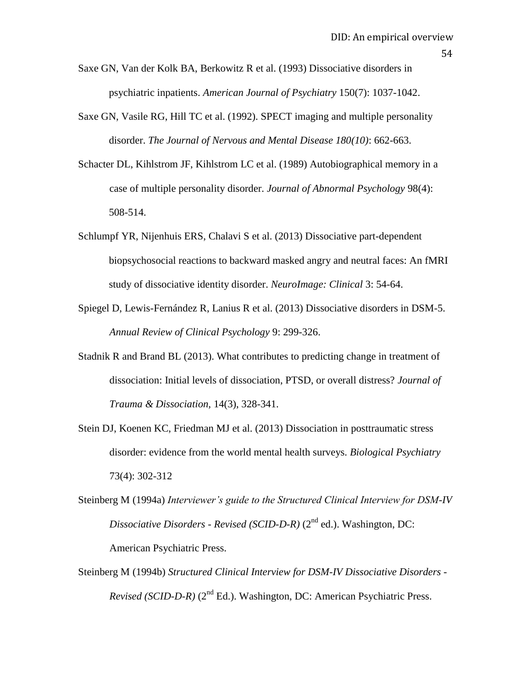- Saxe GN, Van der Kolk BA, Berkowitz R et al. (1993) Dissociative disorders in psychiatric inpatients. *American Journal of Psychiatry* 150(7): 1037-1042.
- Saxe GN, Vasile RG, Hill TC et al. (1992). SPECT imaging and multiple personality disorder. *The Journal of Nervous and Mental Disease 180(10)*: 662-663.
- Schacter DL, Kihlstrom JF, Kihlstrom LC et al. (1989) Autobiographical memory in a case of multiple personality disorder. *Journal of Abnormal Psychology* 98(4): 508-514.
- Schlumpf YR, Nijenhuis ERS, Chalavi S et al. (2013) Dissociative part-dependent biopsychosocial reactions to backward masked angry and neutral faces: An fMRI study of dissociative identity disorder. *NeuroImage: Clinical* 3: 54-64.
- Spiegel D, Lewis-Fernández R, Lanius R et al. (2013) Dissociative disorders in DSM-5. *Annual Review of Clinical Psychology* 9: 299-326.
- Stadnik R and Brand BL (2013). What contributes to predicting change in treatment of dissociation: Initial levels of dissociation, PTSD, or overall distress? *Journal of Trauma & Dissociation,* 14(3), 328-341.
- Stein DJ, Koenen KC, Friedman MJ et al. (2013) Dissociation in posttraumatic stress disorder: evidence from the world mental health surveys. *Biological Psychiatry* 73(4): 302-312
- Steinberg M (1994a) *Interviewer's guide to the Structured Clinical Interview for DSM-IV Dissociative Disorders - Revised (SCID-D-R)* (2nd ed.). Washington, DC: American Psychiatric Press.
- Steinberg M (1994b) *Structured Clinical Interview for DSM-IV Dissociative Disorders - Revised (SCID-D-R)* (2<sup>nd</sup> Ed.). Washington, DC: American Psychiatric Press.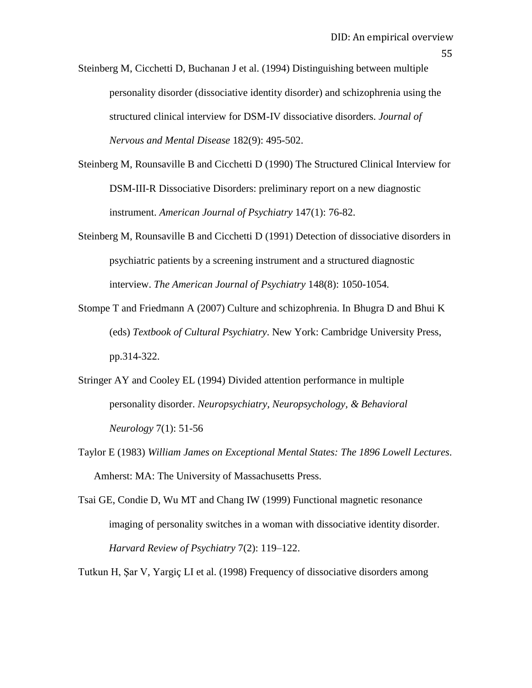Steinberg M, Cicchetti D, Buchanan J et al. (1994) Distinguishing between multiple personality disorder (dissociative identity disorder) and schizophrenia using the structured clinical interview for DSM-IV dissociative disorders. *Journal of Nervous and Mental Disease* 182(9): 495-502.

- Steinberg M, Rounsaville B and Cicchetti D (1990) The Structured Clinical Interview for DSM-III-R Dissociative Disorders: preliminary report on a new diagnostic instrument. *American Journal of Psychiatry* 147(1): 76-82.
- Steinberg M, Rounsaville B and Cicchetti D (1991) Detection of dissociative disorders in psychiatric patients by a screening instrument and a structured diagnostic interview. *The American Journal of Psychiatry* 148(8): 1050-1054*.*
- Stompe T and Friedmann A (2007) Culture and schizophrenia. In Bhugra D and Bhui K (eds) *Textbook of Cultural Psychiatry*. New York: Cambridge University Press, pp.314-322.
- Stringer AY and Cooley EL (1994) [Divided attention performance in multiple](http://web.ebscohost.com.ezproxy.canterbury.ac.nz/ehost/viewarticle?data=dGJyMPPp44rp2%2fdV0%2bnjisfk5Ie46a9JtKuwT7Sk63nn5Kx95uXxjL6rrUq1pbBIr6meSrirtlKyrp5oy5zyit%2fk8Xnh6ueH7N%2fiVauutU6vqbJIs66khN%2fk5VXj5KR84LPui%2ffepIzf3btZzJzfhrunt1Gyo7JJsKi3Ra6mrz7k5fCF3%2bq7fvPi6ozj7vIA&hid=128)  [personality disorder.](http://web.ebscohost.com.ezproxy.canterbury.ac.nz/ehost/viewarticle?data=dGJyMPPp44rp2%2fdV0%2bnjisfk5Ie46a9JtKuwT7Sk63nn5Kx95uXxjL6rrUq1pbBIr6meSrirtlKyrp5oy5zyit%2fk8Xnh6ueH7N%2fiVauutU6vqbJIs66khN%2fk5VXj5KR84LPui%2ffepIzf3btZzJzfhrunt1Gyo7JJsKi3Ra6mrz7k5fCF3%2bq7fvPi6ozj7vIA&hid=128) *Neuropsychiatry, Neuropsychology, & Behavioral Neurology* 7(1): 51-56
- Taylor E (1983) *William James on Exceptional Mental States: The 1896 Lowell Lectures*. Amherst: MA: The University of Massachusetts Press.
- Tsai GE, Condie D, Wu MT and Chang IW (1999) Functional magnetic resonance imaging of personality switches in a woman with dissociative identity disorder. *Harvard Review of Psychiatry* 7(2): 119–122.

Tutkun H, Şar V, Yargiç LI et al. (1998) Frequency of dissociative disorders among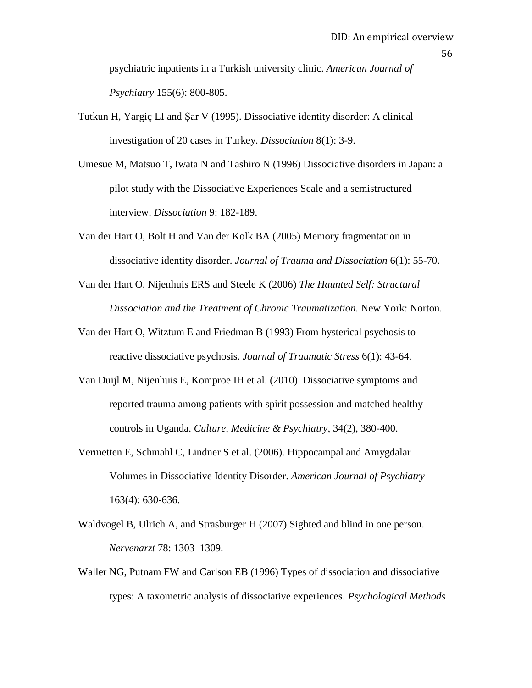psychiatric inpatients in a Turkish university clinic. *American Journal of Psychiatry* 155(6): 800-805.

- Tutkun H, Yargiç LI and Şar V (1995). Dissociative identity disorder: A clinical investigation of 20 cases in Turkey. *Dissociation* 8(1): 3-9.
- Umesue M, Matsuo T, Iwata N and Tashiro N (1996) Dissociative disorders in Japan: a pilot study with the Dissociative Experiences Scale and a semistructured interview. *Dissociation* 9: 182-189.
- Van der Hart O, Bolt H and Van der Kolk BA (2005) Memory fragmentation in dissociative identity disorder. *Journal of Trauma and Dissociation* 6(1): 55-70.
- Van der Hart O, Nijenhuis ERS and Steele K (2006) *The Haunted Self: Structural Dissociation and the Treatment of Chronic Traumatization.* New York: Norton.
- Van der Hart O, Witztum E and Friedman B (1993) From hysterical psychosis to reactive dissociative psychosis. *Journal of Traumatic Stress* 6(1): 43-64.
- Van Duijl M, Nijenhuis E, Komproe IH et al. (2010). Dissociative symptoms and reported trauma among patients with spirit possession and matched healthy controls in Uganda. *Culture, Medicine & Psychiatry,* 34(2)*,* 380-400.
- Vermetten E, Schmahl C, Lindner S et al. (2006). Hippocampal and Amygdalar Volumes in Dissociative Identity Disorder. *American Journal of Psychiatry*  163(4): 630-636.
- Waldvogel B, Ulrich A, and Strasburger H (2007) Sighted and blind in one person. *Nervenarzt* 78: 1303–1309.
- Waller NG, Putnam FW and Carlson EB (1996) Types of dissociation and dissociative types: A taxometric analysis of dissociative experiences. *Psychological Methods*

56